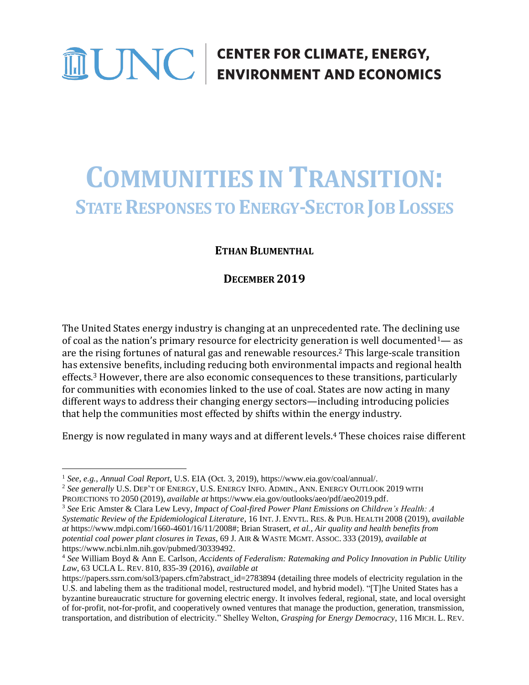# **THE ENERGY CONTRIGUES CONTRIGUES CONTRIGUES ENERGY,**

# **COMMUNITIES IN TRANSITION: STATE RESPONSES TO ENERGY-SECTOR JOB LOSSES**

# **ETHAN BLUMENTHAL**

# **DECEMBER 2019**

The United States energy industry is changing at an unprecedented rate. The declining use of coal as the nation's primary resource for electricity generation is well documented<sup>1</sup>— as are the rising fortunes of natural gas and renewable resources. <sup>2</sup> This large-scale transition has extensive benefits, including reducing both environmental impacts and regional health effects. <sup>3</sup> However, there are also economic consequences to these transitions, particularly for communities with economies linked to the use of coal. States are now acting in many different ways to address their changing energy sectors—including introducing policies that help the communities most effected by shifts within the energy industry.

Energy is now regulated in many ways and at different levels. <sup>4</sup> These choices raise different

<sup>1</sup> *See*, *e.g.*, *Annual Coal Report*, U.S. EIA (Oct. 3, 2019), https://www.eia.gov/coal/annual/.

<sup>2</sup> *See generally* U.S. DEP'T OF ENERGY, U.S. ENERGY INFO. ADMIN., ANN. ENERGY OUTLOOK 2019 WITH PROJECTIONS TO 2050 (2019), *available at* https://www.eia.gov/outlooks/aeo/pdf/aeo2019.pdf.

<sup>3</sup> *See* Eric Amster & Clara Lew Levy, *Impact of Coal-fired Power Plant Emissions on Children's Health: A Systematic Review of the Epidemiological Literature*, 16 INT. J. ENVTL. RES. & PUB. HEALTH 2008 (2019), *available at* https://www.mdpi.com/1660-4601/16/11/2008#; Brian Strasert, *et al.*, *Air quality and health benefits from potential coal power plant closures in Texas*, 69 J. AIR & WASTE MGMT. ASSOC. 333 (2019), *available at* https://www.ncbi.nlm.nih.gov/pubmed/30339492.

<sup>4</sup> *See* William Boyd & Ann E. Carlson, *Accidents of Federalism: Ratemaking and Policy Innovation in Public Utility Law*, 63 UCLA L. REV. 810, 835-39 (2016), *available at*

https://papers.ssrn.com/sol3/papers.cfm?abstract\_id=2783894 (detailing three models of electricity regulation in the U.S. and labeling them as the traditional model, restructured model, and hybrid model). "[T]he United States has a byzantine bureaucratic structure for governing electric energy. It involves federal, regional, state, and local oversight of for-profit, not-for-profit, and cooperatively owned ventures that manage the production, generation, transmission, transportation, and distribution of electricity." Shelley Welton, *Grasping for Energy Democracy*, 116 MICH. L. REV.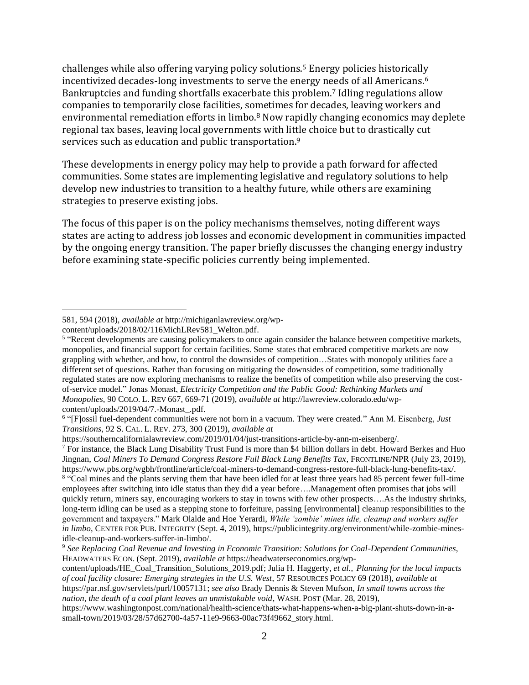challenges while also offering varying policy solutions.<sup>5</sup> Energy policies historically incentivized decades-long investments to serve the energy needs of all Americans.<sup>6</sup> Bankruptcies and funding shortfalls exacerbate this problem.<sup>7</sup> Idling regulations allow companies to temporarily close facilities, sometimes for decades, leaving workers and environmental remediation efforts in limbo.<sup>8</sup> Now rapidly changing economics may deplete regional tax bases, leaving local governments with little choice but to drastically cut services such as education and public transportation.<sup>9</sup>

These developments in energy policy may help to provide a path forward for affected communities. Some states are implementing legislative and regulatory solutions to help develop new industries to transition to a healthy future, while others are examining strategies to preserve existing jobs.

The focus of this paper is on the policy mechanisms themselves, noting different ways states are acting to address job losses and economic development in communities impacted by the ongoing energy transition. The paper briefly discusses the changing energy industry before examining state-specific policies currently being implemented.

<sup>581, 594 (2018),</sup> *available at* http://michiganlawreview.org/wp-

content/uploads/2018/02/116MichLRev581\_Welton.pdf.

<sup>&</sup>lt;sup>5</sup> "Recent developments are causing policymakers to once again consider the balance between competitive markets, monopolies, and financial support for certain facilities. Some states that embraced competitive markets are now grappling with whether, and how, to control the downsides of competition…States with monopoly utilities face a different set of questions. Rather than focusing on mitigating the downsides of competition, some traditionally regulated states are now exploring mechanisms to realize the benefits of competition while also preserving the costof-service model." Jonas Monast, *Electricity Competition and the Public Good: Rethinking Markets and Monopolies*, 90 COLO. L. REV 667, 669-71 (2019), *available at* http://lawreview.colorado.edu/wpcontent/uploads/2019/04/7.-Monast\_.pdf.

<sup>6</sup> "[F]ossil fuel-dependent communities were not born in a vacuum. They were created." Ann M. Eisenberg, *Just Transitions*, 92 S. CAL. L. REV. 273, 300 (2019), *available at*

https://southerncalifornialawreview.com/2019/01/04/just-transitions-article-by-ann-m-eisenberg/.

<sup>7</sup> For instance, the Black Lung Disability Trust Fund is more than \$4 billion dollars in debt. Howard Berkes and Huo Jingnan, *Coal Miners To Demand Congress Restore Full Black Lung Benefits Tax*, FRONTLINE/NPR (July 23, 2019), https://www.pbs.org/wgbh/frontline/article/coal-miners-to-demand-congress-restore-full-black-lung-benefits-tax/. <sup>8</sup> "Coal mines and the plants serving them that have been idled for at least three years had 85 percent fewer full-time employees after switching into idle status than they did a year before….Management often promises that jobs will quickly return, miners say, encouraging workers to stay in towns with few other prospects….As the industry shrinks, long-term idling can be used as a stepping stone to forfeiture, passing [environmental] cleanup responsibilities to the government and taxpayers." Mark Olalde and Hoe Yerardi, *While 'zombie' mines idle, cleanup and workers suffer in limbo*, CENTER FOR PUB. INTEGRITY (Sept. 4, 2019), https://publicintegrity.org/environment/while-zombie-minesidle-cleanup-and-workers-suffer-in-limbo/.

<sup>9</sup> *See Replacing Coal Revenue and Investing in Economic Transition: Solutions for Coal-Dependent Communities*, HEADWATERS ECON. (Sept. 2019), *available at* https://headwaterseconomics.org/wp-

content/uploads/HE\_Coal\_Transition\_Solutions\_2019.pdf; Julia H. Haggerty, *et al.*, *Planning for the local impacts of coal facility closure: Emerging strategies in the U.S. West*, 57 RESOURCES POLICY 69 (2018), *available at* https://par.nsf.gov/servlets/purl/10057131; *see also* Brady Dennis & Steven Mufson, *In small towns across the nation, the death of a coal plant leaves an unmistakable void*, WASH. POST (Mar. 28, 2019),

https://www.washingtonpost.com/national/health-science/thats-what-happens-when-a-big-plant-shuts-down-in-asmall-town/2019/03/28/57d62700-4a57-11e9-9663-00ac73f49662\_story.html.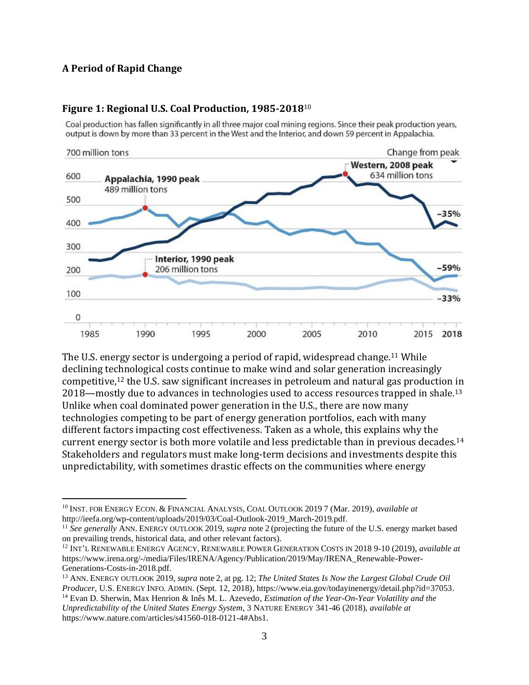## **A Period of Rapid Change**



#### **Figure 1: Regional U.S. Coal Production, 1985-2018**<sup>10</sup>

Coal production has fallen significantly in all three major coal mining regions. Since their peak production years, output is down by more than 33 percent in the West and the Interior, and down 59 percent in Appalachia.

The U.S. energy sector is undergoing a period of rapid, widespread change.<sup>11</sup> While declining technological costs continue to make wind and solar generation increasingly competitive,<sup>12</sup> the U.S. saw significant increases in petroleum and natural gas production in  $2018$ —mostly due to advances in technologies used to access resources trapped in shale.<sup>13</sup> Unlike when coal dominated power generation in the U.S., there are now many technologies competing to be part of energy generation portfolios, each with many different factors impacting cost effectiveness. Taken as a whole, this explains why the current energy sector is both more volatile and less predictable than in previous decades.<sup>14</sup> Stakeholders and regulators must make long-term decisions and investments despite this unpredictability, with sometimes drastic effects on the communities where energy

<sup>10</sup> INST. FOR ENERGY ECON. & FINANCIAL ANALYSIS, COAL OUTLOOK 2019 7 (Mar. 2019), *available at* http://ieefa.org/wp-content/uploads/2019/03/Coal-Outlook-2019\_March-2019.pdf.

<sup>11</sup> *See generally* ANN. ENERGY OUTLOOK 2019, *supra* note 2 (projecting the future of the U.S. energy market based on prevailing trends, historical data, and other relevant factors).

<sup>12</sup> INT'L RENEWABLE ENERGY AGENCY, RENEWABLE POWER GENERATION COSTS IN 2018 9-10 (2019), *available at* https://www.irena.org/-/media/Files/IRENA/Agency/Publication/2019/May/IRENA\_Renewable-Power-Generations-Costs-in-2018.pdf.

<sup>13</sup> ANN. ENERGY OUTLOOK 2019, *supra* note 2, at pg. 12; *The United States Is Now the Largest Global Crude Oil Producer*, U.S. ENERGY INFO. ADMIN. (Sept. 12, 2018), https://www.eia.gov/todayinenergy/detail.php?id=37053. <sup>14</sup> Evan D. Sherwin, Max Henrion & Inês M. L. Azevedo, *Estimation of the Year-On-Year Volatility and the Unpredictability of the United States Energy System*, 3 NATURE ENERGY 341-46 (2018), *available at* https://www.nature.com/articles/s41560-018-0121-4#Abs1.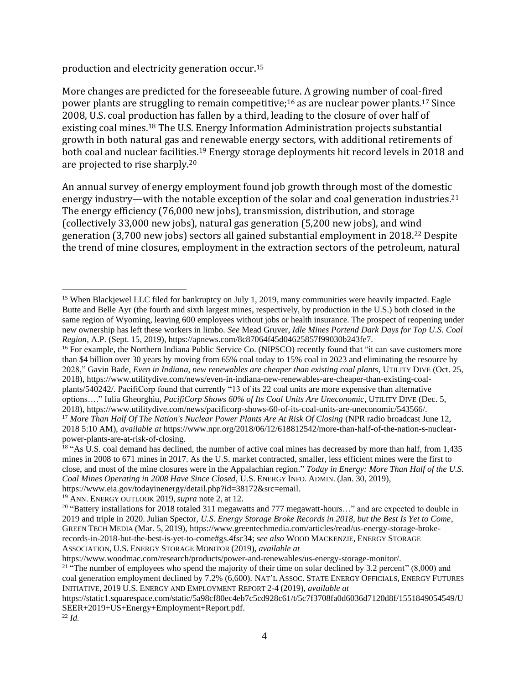production and electricity generation occur. 15

More changes are predicted for the foreseeable future. A growing number of coal-fired power plants are struggling to remain competitive;<sup>16</sup> as are nuclear power plants.<sup>17</sup> Since 2008, U.S. coal production has fallen by a third, leading to the closure of over half of existing coal mines.<sup>18</sup> The U.S. Energy Information Administration projects substantial growth in both natural gas and renewable energy sectors, with additional retirements of both coal and nuclear facilities. <sup>19</sup> Energy storage deployments hit record levels in 2018 and are projected to rise sharply.<sup>20</sup>

An annual survey of energy employment found job growth through most of the domestic energy industry—with the notable exception of the solar and coal generation industries.<sup>21</sup> The energy efficiency (76,000 new jobs), transmission, distribution, and storage (collectively 33,000 new jobs), natural gas generation (5,200 new jobs), and wind generation (3,700 new jobs) sectors all gained substantial employment in 2018. <sup>22</sup> Despite the trend of mine closures, employment in the extraction sectors of the petroleum, natural

<sup>19</sup> ANN. ENERGY OUTLOOK 2019, *supra* note 2*,* at 12.

<sup>&</sup>lt;sup>15</sup> When Blackjewel LLC filed for bankruptcy on July 1, 2019, many communities were heavily impacted. Eagle Butte and Belle Ayr (the fourth and sixth largest mines, respectively, by production in the U.S.) both closed in the same region of Wyoming, leaving 600 employees without jobs or health insurance. The prospect of reopening under new ownership has left these workers in limbo. *See* Mead Gruver, *Idle Mines Portend Dark Days for Top U.S. Coal Region*, A.P. (Sept. 15, 2019), https://apnews.com/8c87064f45d04625857f99030b243fe7.

<sup>&</sup>lt;sup>16</sup> For example, the Northern Indiana Public Service Co. (NIPSCO) recently found that "it can save customers more than \$4 billion over 30 years by moving from 65% coal today to 15% coal in 2023 and eliminating the resource by 2028," Gavin Bade, *Even in Indiana, new renewables are cheaper than existing coal plants*, UTILITY DIVE (Oct. 25, 2018), https://www.utilitydive.com/news/even-in-indiana-new-renewables-are-cheaper-than-existing-coalplants/540242/. PacifiCorp found that currently "13 of its 22 coal units are more expensive than alternative options…." Iulia Gheorghiu, *PacifiCorp Shows 60% of Its Coal Units Are Uneconomic*, UTILITY DIVE (Dec. 5,

<sup>2018),</sup> https://www.utilitydive.com/news/pacificorp-shows-60-of-its-coal-units-are-uneconomic/543566/. <sup>17</sup> More Than Half Of The Nation's Nuclear Power Plants Are At Risk Of Closing (NPR radio broadcast June 12, 2018 5:10 AM), *available at* https://www.npr.org/2018/06/12/618812542/more-than-half-of-the-nation-s-nuclearpower-plants-are-at-risk-of-closing.

<sup>&</sup>lt;sup>18</sup> "As U.S. coal demand has declined, the number of active coal mines has decreased by more than half, from 1,435 mines in 2008 to 671 mines in 2017. As the U.S. market contracted, smaller, less efficient mines were the first to close, and most of the mine closures were in the Appalachian region." *Today in Energy: More Than Half of the U.S. Coal Mines Operating in 2008 Have Since Closed*, U.S. ENERGY INFO. ADMIN. (Jan. 30, 2019), https://www.eia.gov/todayinenergy/detail.php?id=38172&src=email.

<sup>&</sup>lt;sup>20</sup> "Battery installations for 2018 totaled 311 megawatts and 777 megawatt-hours..." and are expected to double in 2019 and triple in 2020. Julian Spector, *U.S. Energy Storage Broke Records in 2018, but the Best Is Yet to Come*, GREEN TECH MEDIA (Mar. 5, 2019), https://www.greentechmedia.com/articles/read/us-energy-storage-brokerecords-in-2018-but-the-best-is-yet-to-come#gs.4fsc34; *see also* WOOD MACKENZIE, ENERGY STORAGE ASSOCIATION, U.S. ENERGY STORAGE MONITOR (2019), *available at* 

https://www.woodmac.com/research/products/power-and-renewables/us-energy-storage-monitor/.

<sup>&</sup>lt;sup>21</sup> "The number of employees who spend the majority of their time on solar declined by 3.2 percent"  $(8,000)$  and coal generation employment declined by 7.2% (6,600). NAT'L ASSOC. STATE ENERGY OFFICIALS, ENERGY FUTURES INITIATIVE, 2019 U.S. ENERGY AND EMPLOYMENT REPORT 2-4 (2019), *available at*

https://static1.squarespace.com/static/5a98cf80ec4eb7c5cd928c61/t/5c7f3708fa0d6036d7120d8f/1551849054549/U SEER+2019+US+Energy+Employment+Report.pdf.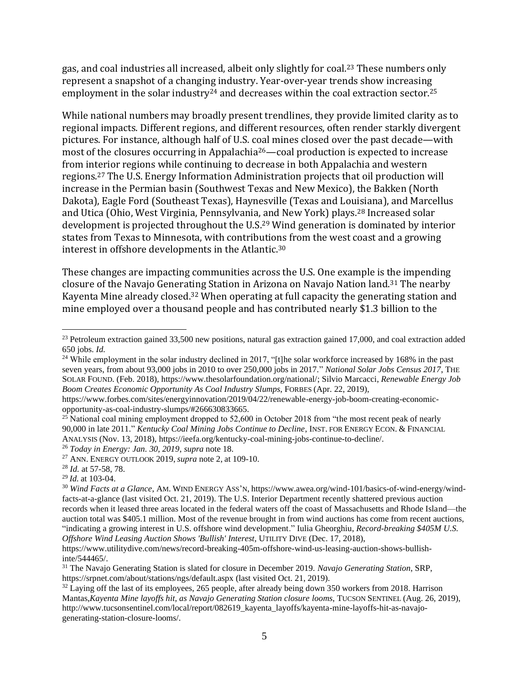gas, and coal industries all increased, albeit only slightly for coal. <sup>23</sup> These numbers only represent a snapshot of a changing industry. Year-over-year trends show increasing employment in the solar industry<sup>24</sup> and decreases within the coal extraction sector.<sup>25</sup>

While national numbers may broadly present trendlines, they provide limited clarity as to regional impacts. Different regions, and different resources, often render starkly divergent pictures. For instance, although half of U.S. coal mines closed over the past decade—with most of the closures occurring in Appalachia26—coal production is expected to increase from interior regions while continuing to decrease in both Appalachia and western regions. <sup>27</sup> The U.S. Energy Information Administration projects that oil production will increase in the Permian basin (Southwest Texas and New Mexico), the Bakken (North Dakota), Eagle Ford (Southeast Texas), Haynesville (Texas and Louisiana), and Marcellus and Utica (Ohio, West Virginia, Pennsylvania, and New York) plays.<sup>28</sup> Increased solar development is projected throughout the U.S.<sup>29</sup> Wind generation is dominated by interior states from Texas to Minnesota, with contributions from the west coast and a growing interest in offshore developments in the Atlantic.<sup>30</sup>

These changes are impacting communities across the U.S. One example is the impending closure of the Navajo Generating Station in Arizona on Navajo Nation land.<sup>31</sup> The nearby Kayenta Mine already closed.<sup>32</sup> When operating at full capacity the generating station and mine employed over a thousand people and has contributed nearly \$1.3 billion to the

<sup>29</sup> *Id.* at 103-04.

<sup>&</sup>lt;sup>23</sup> Petroleum extraction gained 33,500 new positions, natural gas extraction gained 17,000, and coal extraction added 650 jobs. *Id.*

<sup>&</sup>lt;sup>24</sup> While employment in the solar industry declined in 2017, "[t]he solar workforce increased by 168% in the past seven years, from about 93,000 jobs in 2010 to over 250,000 jobs in 2017." *National Solar Jobs Census 2017*, THE SOLAR FOUND. (Feb. 2018), https://www.thesolarfoundation.org/national/; Silvio Marcacci, *Renewable Energy Job Boom Creates Economic Opportunity As Coal Industry Slumps*, FORBES (Apr. 22, 2019),

https://www.forbes.com/sites/energyinnovation/2019/04/22/renewable-energy-job-boom-creating-economicopportunity-as-coal-industry-slumps/#266630833665.

<sup>&</sup>lt;sup>25</sup> National coal mining employment dropped to  $52,600$  in October 2018 from "the most recent peak of nearly 90,000 in late 2011." *Kentucky Coal Mining Jobs Continue to Decline*, INST. FOR ENERGY ECON. & FINANCIAL ANALYSIS (Nov. 13, 2018), https://ieefa.org/kentucky-coal-mining-jobs-continue-to-decline/.

<sup>26</sup> *Today in Energy: Jan. 30, 2019*, *supra* note 18.

<sup>27</sup> ANN. ENERGY OUTLOOK 2019, *supra* note 2, at 109-10.

<sup>28</sup> *Id.* at 57-58, 78.

<sup>30</sup> *Wind Facts at a Glance*, AM. WIND ENERGY ASS'N, https://www.awea.org/wind-101/basics-of-wind-energy/windfacts-at-a-glance (last visited Oct. 21, 2019). The U.S. Interior Department recently shattered previous auction records when it leased three areas located in the federal waters off the coast of Massachusetts and Rhode Island—the auction total was \$405.1 million. Most of the revenue brought in from wind auctions has come from recent auctions, "indicating a growing interest in U.S. offshore wind development." Iulia Gheorghiu, *Record-breaking \$405M U.S. Offshore Wind Leasing Auction Shows 'Bullish' Interest*, UTILITY DIVE (Dec. 17, 2018),

https://www.utilitydive.com/news/record-breaking-405m-offshore-wind-us-leasing-auction-shows-bullishinte/544465/.

<sup>31</sup> The Navajo Generating Station is slated for closure in December 2019. *Navajo Generating Station*, SRP, https://srpnet.com/about/stations/ngs/default.aspx (last visited Oct. 21, 2019).

<sup>&</sup>lt;sup>32</sup> Laying off the last of its employees, 265 people, after already being down 350 workers from 2018. Harrison Mantas,*Kayenta Mine layoffs hit, as Navajo Generating Station closure looms*, TUCSON SENTINEL (Aug. 26, 2019), http://www.tucsonsentinel.com/local/report/082619\_kayenta\_layoffs/kayenta-mine-layoffs-hit-as-navajogenerating-station-closure-looms/.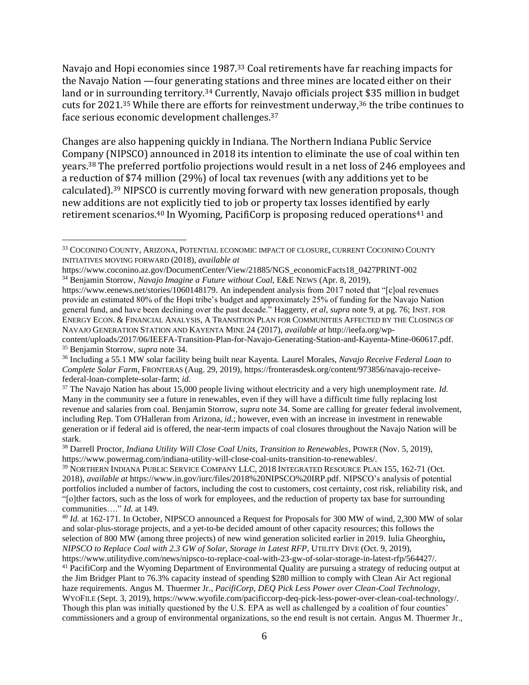Navajo and Hopi economies since 1987.<sup>33</sup> Coal retirements have far reaching impacts for the Navajo Nation —four generating stations and three mines are located either on their land or in surrounding territory.<sup>34</sup> Currently, Navajo officials project \$35 million in budget cuts for 2021.<sup>35</sup> While there are efforts for reinvestment underway,<sup>36</sup> the tribe continues to face serious economic development challenges.<sup>37</sup>

Changes are also happening quickly in Indiana. The Northern Indiana Public Service Company (NIPSCO) announced in 2018 its intention to eliminate the use of coal within ten years.<sup>38</sup> The preferred portfolio projections would result in a net loss of 246 employees and a reduction of \$74 million (29%) of local tax revenues (with any additions yet to be calculated).<sup>39</sup> NIPSCO is currently moving forward with new generation proposals, though new additions are not explicitly tied to job or property tax losses identified by early retirement scenarios.<sup>40</sup> In Wyoming, PacifiCorp is proposing reduced operations<sup>41</sup> and

<sup>33</sup> COCONINO COUNTY, ARIZONA, POTENTIAL ECONOMIC IMPACT OF CLOSURE, CURRENT COCONINO COUNTY INITIATIVES MOVING FORWARD (2018), *available at* 

https://www.coconino.az.gov/DocumentCenter/View/21885/NGS\_economicFacts18\_0427PRINT-002 <sup>34</sup> Benjamin Storrow, *Navajo Imagine a Future without Coal*, E&E NEWS (Apr. 8, 2019),

https://www.eenews.net/stories/1060148179. An independent analysis from 2017 noted that "[c]oal revenues provide an estimated 80% of the Hopi tribe's budget and approximately 25% of funding for the Navajo Nation general fund, and have been declining over the past decade." Haggerty, *et al*, *supra* note 9, at pg. 76; INST. FOR ENERGY ECON. & FINANCIAL ANALYSIS, A TRANSITION PLAN FOR COMMUNITIES AFFECTED BY THE CLOSINGS OF NAVAJO GENERATION STATION AND KAYENTA MINE 24 (2017), *available at* http://ieefa.org/wp-

content/uploads/2017/06/IEEFA-Transition-Plan-for-Navajo-Generating-Station-and-Kayenta-Mine-060617.pdf. <sup>35</sup> Benjamin Storrow, *supra* note 34.

<sup>36</sup> Including a 55.1 MW solar facility being built near Kayenta. Laurel Morales, *Navajo Receive Federal Loan to Complete Solar Farm*, FRONTERAS (Aug. 29, 2019), https://fronterasdesk.org/content/973856/navajo-receivefederal-loan-complete-solar-farm; *id.*

<sup>37</sup> The Navajo Nation has about 15,000 people living without electricity and a very high unemployment rate. *Id.* Many in the community see a future in renewables, even if they will have a difficult time fully replacing lost revenue and salaries from coal. Benjamin Storrow, *supra* note 34. Some are calling for greater federal involvement, including Rep. Tom O'Halleran from Arizona, *id.*; however, even with an increase in investment in renewable generation or if federal aid is offered, the near-term impacts of coal closures throughout the Navajo Nation will be stark.

<sup>38</sup> Darrell Proctor, *Indiana Utility Will Close Coal Units, Transition to Renewables*, POWER (Nov. 5, 2019), https://www.powermag.com/indiana-utility-will-close-coal-units-transition-to-renewables/.

<sup>39</sup> NORTHERN INDIANA PUBLIC SERVICE COMPANY LLC, 2018 INTEGRATED RESOURCE PLAN 155, 162-71 (Oct. 2018), *available at* https://www.in.gov/iurc/files/2018%20NIPSCO%20IRP.pdf. NIPSCO's analysis of potential portfolios included a number of factors, including the cost to customers, cost certainty, cost risk, reliability risk, and "[o]ther factors, such as the loss of work for employees, and the reduction of property tax base for surrounding communities…." *Id.* at 149.

<sup>40</sup> *Id.* at 162-171. In October, NIPSCO announced a Request for Proposals for 300 MW of wind, 2,300 MW of solar and solar-plus-storage projects, and a yet-to-be decided amount of other capacity resources; this follows the selection of 800 MW (among three projects) of new wind generation solicited earlier in 2019. Iulia Gheorghiu**,**  *NIPSCO to Replace Coal with 2.3 GW of Solar, Storage in Latest RFP*, UTILITY DIVE (Oct. 9, 2019), https://www.utilitydive.com/news/nipsco-to-replace-coal-with-23-gw-of-solar-storage-in-latest-rfp/564427/.

<sup>&</sup>lt;sup>41</sup> PacifiCorp and the Wyoming Department of Environmental Quality are pursuing a strategy of reducing output at the Jim Bridger Plant to 76.3% capacity instead of spending \$280 million to comply with Clean Air Act regional haze requirements. Angus M. Thuermer Jr., *PacifiCorp, DEQ Pick Less Power over Clean-Coal Technology*, WYOFILE (Sept. 3, 2019), https://www.wyofile.com/pacificcorp-deq-pick-less-power-over-clean-coal-technology/. Though this plan was initially questioned by the U.S. EPA as well as challenged by a coalition of four counties' commissioners and a group of environmental organizations, so the end result is not certain. Angus M. Thuermer Jr.,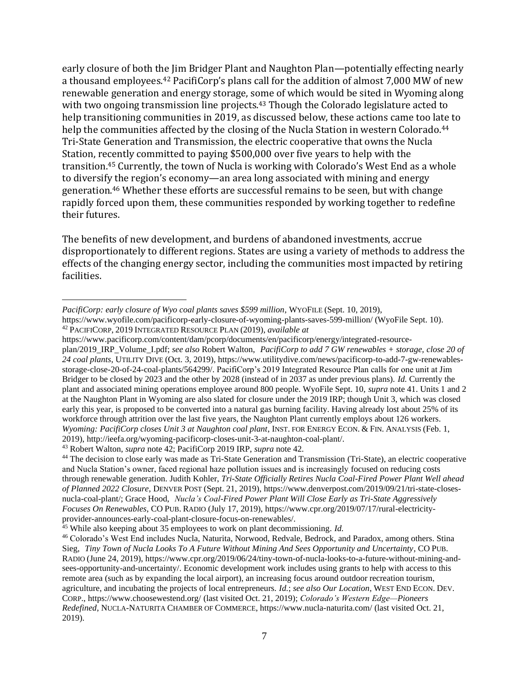early closure of both the Jim Bridger Plant and Naughton Plan—potentially effecting nearly a thousand employees.<sup>42</sup> PacifiCorp's plans call for the addition of almost 7,000 MW of new renewable generation and energy storage, some of which would be sited in Wyoming along with two ongoing transmission line projects.<sup>43</sup> Though the Colorado legislature acted to help transitioning communities in 2019, as discussed below, these actions came too late to help the communities affected by the closing of the Nucla Station in western Colorado.<sup>44</sup> Tri-State Generation and Transmission, the electric cooperative that owns the Nucla Station, recently committed to paying \$500,000 over five years to help with the transition. <sup>45</sup> Currently, the town of Nucla is working with Colorado's West End as a whole to diversify the region's economy—an area long associated with mining and energy generation.<sup>46</sup> Whether these efforts are successful remains to be seen, but with change rapidly forced upon them, these communities responded by working together to redefine their futures.

The benefits of new development, and burdens of abandoned investments, accrue disproportionately to different regions. States are using a variety of methods to address the effects of the changing energy sector, including the communities most impacted by retiring facilities.

*PacifiCorp: early closure of Wyo coal plants saves \$599 million*, WYOFILE (Sept. 10, 2019),

https://www.wyofile.com/pacificorp-early-closure-of-wyoming-plants-saves-599-million/ (WyoFile Sept. 10). <sup>42</sup> PACIFICORP, 2019 INTEGRATED RESOURCE PLAN (2019), *available at* 

https://www.pacificorp.com/content/dam/pcorp/documents/en/pacificorp/energy/integrated-resourceplan/2019\_IRP\_Volume\_I.pdf; *see also* Robert Walton, *PacifiCorp to add 7 GW renewables + storage, close 20 of 24 coal plants*, UTILITY DIVE (Oct. 3, 2019), https://www.utilitydive.com/news/pacificorp-to-add-7-gw-renewablesstorage-close-20-of-24-coal-plants/564299/. PacifiCorp's 2019 Integrated Resource Plan calls for one unit at Jim Bridger to be closed by 2023 and the other by 2028 (instead of in 2037 as under previous plans). *Id.* Currently the plant and associated mining operations employee around 800 people. WyoFile Sept. 10, *supra* note 41. Units 1 and 2 at the Naughton Plant in Wyoming are also slated for closure under the 2019 IRP; though Unit 3, which was closed early this year, is proposed to be converted into a natural gas burning facility. Having already lost about 25% of its workforce through attrition over the last five years, the Naughton Plant currently employs about 126 workers. *Wyoming: PacifiCorp closes Unit 3 at Naughton coal plant*, INST. FOR ENERGY ECON. & FIN. ANALYSIS (Feb. 1, 2019), http://ieefa.org/wyoming-pacificorp-closes-unit-3-at-naughton-coal-plant/.

<sup>43</sup> Robert Walton, *supra* note 42; PacifiCorp 2019 IRP, *supra* note 42.

<sup>44</sup> The decision to close early was made as Tri-State Generation and Transmission (Tri-State), an electric cooperative and Nucla Station's owner, faced regional haze pollution issues and is increasingly focused on reducing costs through renewable generation. Judith Kohler, *Tri-State Officially Retires Nucla Coal-Fired Power Plant Well ahead of Planned 2022 Closure*, DENVER POST (Sept. 21, 2019), https://www.denverpost.com/2019/09/21/tri-state-closesnucla-coal-plant/; Grace Hood, *Nucla's Coal-Fired Power Plant Will Close Early as Tri-State Aggressively Focuses On Renewables*, CO PUB. RADIO (July 17, 2019), https://www.cpr.org/2019/07/17/rural-electricityprovider-announces-early-coal-plant-closure-focus-on-renewables/.

<sup>&</sup>lt;sup>45</sup> While also keeping about 35 employees to work on plant decommissioning. *Id.* 

<sup>46</sup> Colorado's West End includes Nucla, Naturita, Norwood, Redvale, Bedrock, and Paradox, among others. Stina Sieg, *Tiny Town of Nucla Looks To A Future Without Mining And Sees Opportunity and Uncertainty*, CO PUB. RADIO (June 24, 2019), https://www.cpr.org/2019/06/24/tiny-town-of-nucla-looks-to-a-future-without-mining-andsees-opportunity-and-uncertainty/. Economic development work includes using grants to help with access to this remote area (such as by expanding the local airport), an increasing focus around outdoor recreation tourism, agriculture, and incubating the projects of local entrepreneurs. *Id.*; *see also Our Location*, WEST END ECON. DEV. CORP., https://www.choosewestend.org/ (last visited Oct. 21, 2019); *Colorado's Western Edge—Pioneers Redefined*, NUCLA-NATURITA CHAMBER OF COMMERCE, https://www.nucla-naturita.com/ (last visited Oct. 21, 2019).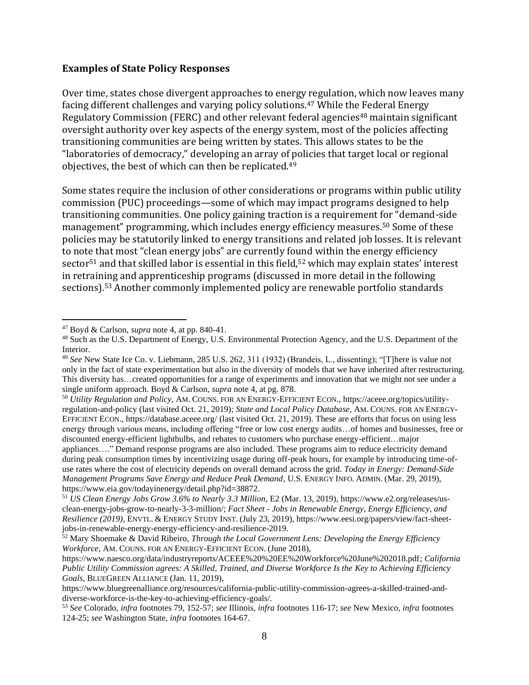#### **Examples of State Policy Responses**

Over time, states chose divergent approaches to energy regulation, which now leaves many facing different challenges and varying policy solutions.<sup>47</sup> While the Federal Energy Regulatory Commission (FERC) and other relevant federal agencies<sup>48</sup> maintain significant oversight authority over key aspects of the energy system, most of the policies affecting transitioning communities are being written by states. This allows states to be the "laboratories of democracy," developing an array of policies that target local or regional objectives, the best of which can then be replicated.<sup>49</sup>

Some states require the inclusion of other considerations or programs within public utility commission (PUC) proceedings—some of which may impact programs designed to help transitioning communities. One policy gaining traction is a requirement for "demand-side management" programming, which includes energy efficiency measures.<sup>50</sup> Some of these policies may be statutorily linked to energy transitions and related job losses. It is relevant to note that most "clean energy jobs" are currently found within the energy efficiency sector<sup>51</sup> and that skilled labor is essential in this field,<sup>52</sup> which may explain states' interest in retraining and apprenticeship programs (discussed in more detail in the following sections). <sup>53</sup> Another commonly implemented policy are renewable portfolio standards

<sup>50</sup> *Utility Regulation and Policy*, AM. COUNS. FOR AN ENERGY-EFFICIENT ECON., https://aceee.org/topics/utilityregulation-and-policy (last visited Oct. 21, 2019); *State and Local Policy Database*, AM. COUNS. FOR AN ENERGY-EFFICIENT ECON., https://database.aceee.org/ (last visited Oct. 21, 2019). These are efforts that focus on using less energy through various means, including offering "free or low cost energy audits…of homes and businesses, free or discounted energy-efficient lightbulbs, and rebates to customers who purchase energy-efficient…major

appliances…." Demand response programs are also included. These programs aim to reduce electricity demand during peak consumption times by incentivizing usage during off-peak hours, for example by introducing time-ofuse rates where the cost of electricity depends on overall demand across the grid. *Today in Energy: Demand-Side Management Programs Save Energy and Reduce Peak Demand*, U.S. ENERGY INFO. ADMIN. (Mar. 29, 2019), https://www.eia.gov/todayinenergy/detail.php?id=38872.

<sup>47</sup> Boyd & Carlson, *supra* note 4, at pp. 840-41.

<sup>48</sup> Such as the U.S. Department of Energy, U.S. Environmental Protection Agency, and the U.S. Department of the Interior.

<sup>49</sup> *See* New State Ice Co. v. Liebmann, 285 U.S. 262, 311 (1932) (Brandeis, L., dissenting); "[T]here is value not only in the fact of state experimentation but also in the diversity of models that we have inherited after restructuring. This diversity has…created opportunities for a range of experiments and innovation that we might not see under a single uniform approach. Boyd & Carlson, *supra* note 4, at pg. 878.

<sup>51</sup> *US Clean Energy Jobs Grow 3.6% to Nearly 3.3 Million*, E2 (Mar. 13, 2019), https://www.e2.org/releases/usclean-energy-jobs-grow-to-nearly-3-3-million/; *Fact Sheet - Jobs in Renewable Energy, Energy Efficiency, and Resilience (2019)*, ENVTL. & ENERGY STUDY INST. (July 23, 2019), https://www.eesi.org/papers/view/fact-sheetjobs-in-renewable-energy-energy-efficiency-and-resilience-2019.

<sup>52</sup> Mary Shoemake & David Ribeiro, *Through the Local Government Lens: Developing the Energy Efficiency Workforce*, AM. COUNS. FOR AN ENERGY-EFFICIENT ECON. (June 2018),

https://www.naesco.org/data/industryreports/ACEEE%20%20EE%20Workforce%20June%202018.pdf; *California Public Utility Commission agrees: A Skilled, Trained, and Diverse Workforce Is the Key to Achieving Efficiency Goals*, BLUEGREEN ALLIANCE (Jan. 11, 2019),

https://www.bluegreenalliance.org/resources/california-public-utility-commission-agrees-a-skilled-trained-anddiverse-workforce-is-the-key-to-achieving-efficiency-goals/.

<sup>53</sup> *See* Colorado, *infra* footnotes 79, 152-57; *see* Illinois, *infra* footnotes 116-17; *see* New Mexico, *infra* footnotes 124-25; *see* Washington State, *infra* footnotes 164-67.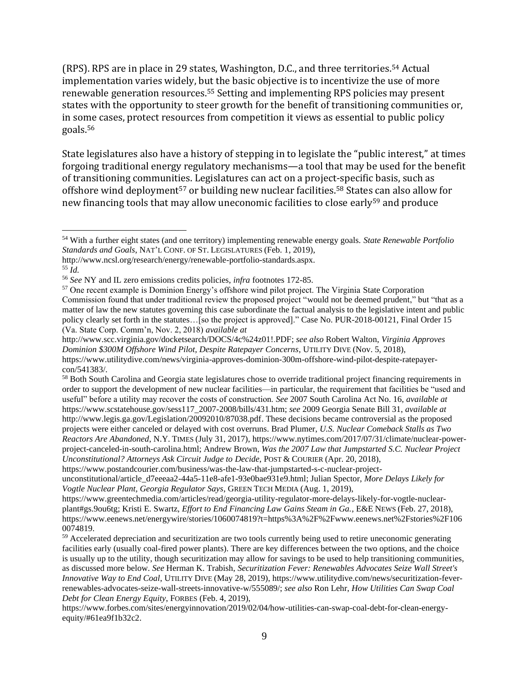(RPS). RPS are in place in 29 states, Washington, D.C., and three territories.<sup>54</sup> Actual implementation varies widely, but the basic objective is to incentivize the use of more renewable generation resources.<sup>55</sup> Setting and implementing RPS policies may present states with the opportunity to steer growth for the benefit of transitioning communities or, in some cases, protect resources from competition it views as essential to public policy goals.<sup>56</sup>

State legislatures also have a history of stepping in to legislate the "public interest," at times forgoing traditional energy regulatory mechanisms—a tool that may be used for the benefit of transitioning communities. Legislatures can act on a project-specific basis, such as offshore wind deployment<sup>57</sup> or building new nuclear facilities.<sup>58</sup> States can also allow for new financing tools that may allow uneconomic facilities to close early<sup>59</sup> and produce

<sup>54</sup> With a further eight states (and one territory) implementing renewable energy goals. *State Renewable Portfolio Standards and Goals*, NAT'L CONF. OF ST. LEGISLATURES (Feb. 1, 2019),

http://www.ncsl.org/research/energy/renewable-portfolio-standards.aspx. <sup>55</sup> *Id.*

<sup>56</sup> *See* NY and IL zero emissions credits policies, *infra* footnotes 172-85.

<sup>57</sup> One recent example is Dominion Energy's offshore wind pilot project. The Virginia State Corporation Commission found that under traditional review the proposed project "would not be deemed prudent," but "that as a matter of law the new statutes governing this case subordinate the factual analysis to the legislative intent and public policy clearly set forth in the statutes…[so the project is approved]." Case No. PUR-2018-00121, Final Order 15 (Va. State Corp. Comm'n, Nov. 2, 2018) *available at*

http://www.scc.virginia.gov/docketsearch/DOCS/4c%24z01!.PDF; *see also* Robert Walton, *Virginia Approves Dominion \$300M Offshore Wind Pilot, Despite Ratepayer Concerns*, UTILITY DIVE (Nov. 5, 2018), https://www.utilitydive.com/news/virginia-approves-dominion-300m-offshore-wind-pilot-despite-ratepayercon/541383/.

<sup>58</sup> Both South Carolina and Georgia state legislatures chose to override traditional project financing requirements in order to support the development of new nuclear facilities—in particular, the requirement that facilities be "used and useful" before a utility may recover the costs of construction. *See* 2007 South Carolina Act No. 16, *available at* https://www.scstatehouse.gov/sess117\_2007-2008/bills/431.htm; *see* 2009 Georgia Senate Bill 31, *available at* http://www.legis.ga.gov/Legislation/20092010/87038.pdf. These decisions became controversial as the proposed projects were either canceled or delayed with cost overruns. Brad Plumer, *U.S. Nuclear Comeback Stalls as Two Reactors Are Abandoned*, N.Y. TIMES (July 31, 2017), https://www.nytimes.com/2017/07/31/climate/nuclear-powerproject-canceled-in-south-carolina.html; Andrew Brown, *Was the 2007 Law that Jumpstarted S.C. Nuclear Project Unconstitutional? Attorneys Ask Circuit Judge to Decide*, POST & COURIER (Apr. 20, 2018),

https://www.postandcourier.com/business/was-the-law-that-jumpstarted-s-c-nuclear-project-

unconstitutional/article\_d7eeeaa2-44a5-11e8-afe1-93e0bae931e9.html; Julian Spector, *More Delays Likely for Vogtle Nuclear Plant, Georgia Regulator Says*, GREEN TECH MEDIA (Aug. 1, 2019),

https://www.greentechmedia.com/articles/read/georgia-utility-regulator-more-delays-likely-for-vogtle-nuclearplant#gs.9ou6tg; Kristi E. Swartz, *Effort to End Financing Law Gains Steam in Ga.*, E&E NEWS (Feb. 27, 2018), https://www.eenews.net/energywire/stories/1060074819?t=https%3A%2F%2Fwww.eenews.net%2Fstories%2F106 0074819.

<sup>&</sup>lt;sup>59</sup> Accelerated depreciation and securitization are two tools currently being used to retire uneconomic generating facilities early (usually coal-fired power plants). There are key differences between the two options, and the choice is usually up to the utility, though securitization may allow for savings to be used to help transitioning communities, as discussed more below. *See* Herman K. Trabish, *Securitization Fever: Renewables Advocates Seize Wall Street's Innovative Way to End Coal*, UTILITY DIVE (May 28, 2019), https://www.utilitydive.com/news/securitization-feverrenewables-advocates-seize-wall-streets-innovative-w/555089/; *see also* Ron Lehr, *How Utilities Can Swap Coal Debt for Clean Energy Equity*, FORBES (Feb. 4, 2019),

https://www.forbes.com/sites/energyinnovation/2019/02/04/how-utilities-can-swap-coal-debt-for-clean-energyequity/#61ea9f1b32c2.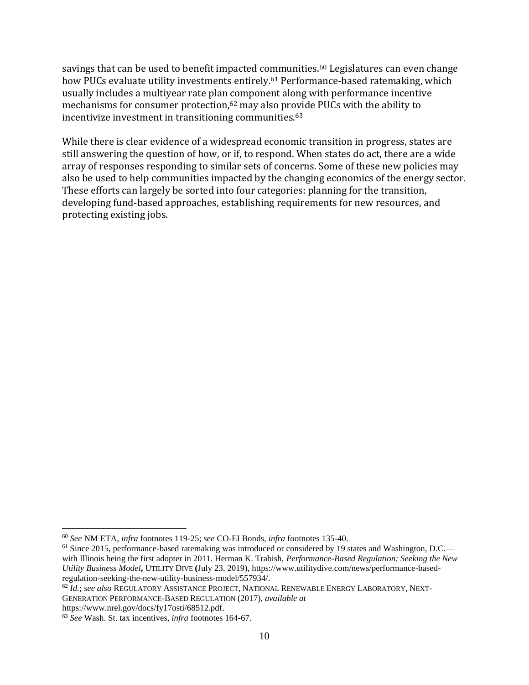savings that can be used to benefit impacted communities.<sup>60</sup> Legislatures can even change how PUCs evaluate utility investments entirely.<sup>61</sup> Performance-based ratemaking, which usually includes a multiyear rate plan component along with performance incentive mechanisms for consumer protection,<sup>62</sup> may also provide PUCs with the ability to incentivize investment in transitioning communities.<sup>63</sup>

While there is clear evidence of a widespread economic transition in progress, states are still answering the question of how, or if, to respond. When states do act, there are a wide array of responses responding to similar sets of concerns. Some of these new policies may also be used to help communities impacted by the changing economics of the energy sector. These efforts can largely be sorted into four categories: planning for the transition, developing fund-based approaches, establishing requirements for new resources, and protecting existing jobs.

https://www.nrel.gov/docs/fy17osti/68512.pdf.

<sup>60</sup> *See* NM ETA, *infra* footnotes 119-25; *see* CO-EI Bonds, *infra* footnotes 135-40.

<sup>&</sup>lt;sup>61</sup> Since 2015, performance-based ratemaking was introduced or considered by 19 states and Washington, D.C. with Illinois being the first adopter in 2011. Herman K. Trabish, *Performance-Based Regulation: Seeking the New Utility Business Model***,** UTILITY DIVE **(**July 23, 2019), https://www.utilitydive.com/news/performance-basedregulation-seeking-the-new-utility-business-model/557934/.

<sup>62</sup> *Id.*; *see also* REGULATORY ASSISTANCE PROJECT, NATIONAL RENEWABLE ENERGY LABORATORY, NEXT-GENERATION PERFORMANCE-BASED REGULATION (2017), *available at*

<sup>63</sup> *See* Wash. St. tax incentives, *infra* footnotes 164-67.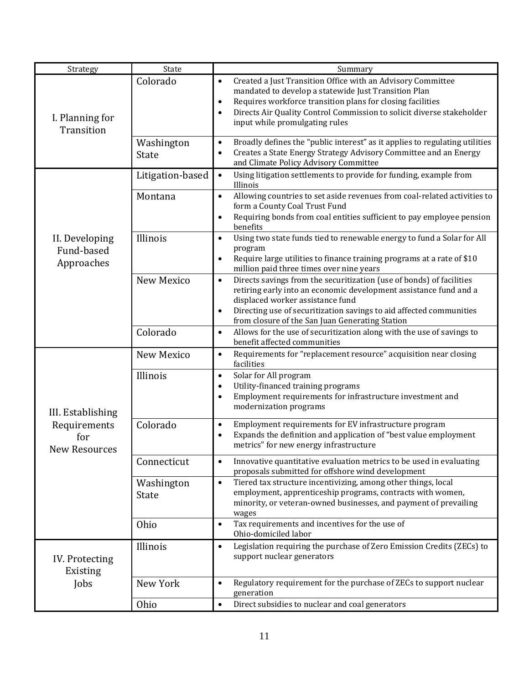| Strategy                                                         | State                      | Summary                                                                                                                                                                                                                                                                                                                             |
|------------------------------------------------------------------|----------------------------|-------------------------------------------------------------------------------------------------------------------------------------------------------------------------------------------------------------------------------------------------------------------------------------------------------------------------------------|
| I. Planning for<br>Transition                                    | Colorado                   | Created a Just Transition Office with an Advisory Committee<br>$\bullet$<br>mandated to develop a statewide Just Transition Plan<br>Requires workforce transition plans for closing facilities<br>$\bullet$<br>Directs Air Quality Control Commission to solicit diverse stakeholder<br>$\bullet$<br>input while promulgating rules |
|                                                                  | Washington<br>State        | Broadly defines the "public interest" as it applies to regulating utilities<br>$\bullet$<br>Creates a State Energy Strategy Advisory Committee and an Energy<br>$\bullet$<br>and Climate Policy Advisory Committee                                                                                                                  |
| II. Developing<br>Fund-based<br>Approaches                       | Litigation-based           | Using litigation settlements to provide for funding, example from<br>$\bullet$<br>Illinois                                                                                                                                                                                                                                          |
|                                                                  | Montana                    | Allowing countries to set aside revenues from coal-related activities to<br>$\bullet$<br>form a County Coal Trust Fund<br>Requiring bonds from coal entities sufficient to pay employee pension<br>benefits                                                                                                                         |
|                                                                  | Illinois                   | Using two state funds tied to renewable energy to fund a Solar for All<br>$\bullet$<br>program<br>Require large utilities to finance training programs at a rate of \$10<br>million paid three times over nine years                                                                                                                |
|                                                                  | New Mexico                 | Directs savings from the securitization (use of bonds) of facilities<br>$\bullet$<br>retiring early into an economic development assistance fund and a<br>displaced worker assistance fund<br>Directing use of securitization savings to aid affected communities<br>from closure of the San Juan Generating Station                |
|                                                                  | Colorado                   | Allows for the use of securitization along with the use of savings to<br>$\bullet$<br>benefit affected communities                                                                                                                                                                                                                  |
| III. Establishing<br>Requirements<br>for<br><b>New Resources</b> | New Mexico                 | Requirements for "replacement resource" acquisition near closing<br>$\bullet$<br>facilities                                                                                                                                                                                                                                         |
|                                                                  | Illinois                   | Solar for All program<br>$\bullet$<br>Utility-financed training programs<br>$\bullet$<br>Employment requirements for infrastructure investment and<br>$\bullet$<br>modernization programs                                                                                                                                           |
|                                                                  | Colorado                   | Employment requirements for EV infrastructure program<br>$\bullet$<br>Expands the definition and application of "best value employment<br>metrics" for new energy infrastructure                                                                                                                                                    |
|                                                                  | Connecticut                | Innovative quantitative evaluation metrics to be used in evaluating<br>$\bullet$<br>proposals submitted for offshore wind development                                                                                                                                                                                               |
|                                                                  | Washington<br><b>State</b> | Tiered tax structure incentivizing, among other things, local<br>$\bullet$<br>employment, apprenticeship programs, contracts with women,<br>minority, or veteran-owned businesses, and payment of prevailing<br>wages                                                                                                               |
|                                                                  | Ohio                       | Tax requirements and incentives for the use of<br>$\bullet$<br>Ohio-domiciled labor                                                                                                                                                                                                                                                 |
| IV. Protecting<br>Existing<br>Jobs                               | Illinois                   | Legislation requiring the purchase of Zero Emission Credits (ZECs) to<br>$\bullet$<br>support nuclear generators                                                                                                                                                                                                                    |
|                                                                  | New York                   | Regulatory requirement for the purchase of ZECs to support nuclear<br>$\bullet$<br>generation                                                                                                                                                                                                                                       |
|                                                                  | Ohio                       | Direct subsidies to nuclear and coal generators<br>$\bullet$                                                                                                                                                                                                                                                                        |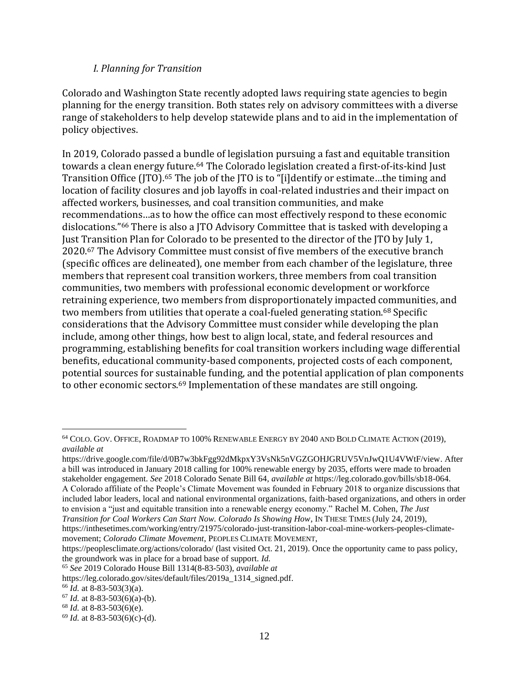#### *I. Planning for Transition*

Colorado and Washington State recently adopted laws requiring state agencies to begin planning for the energy transition. Both states rely on advisory committees with a diverse range of stakeholders to help develop statewide plans and to aid in the implementation of policy objectives.

In 2019, Colorado passed a bundle of legislation pursuing a fast and equitable transition towards a clean energy future.<sup>64</sup> The Colorado legislation created a first-of-its-kind Just Transition Office (JTO).<sup>65</sup> The job of the JTO is to "[i]dentify or estimate...the timing and location of facility closures and job layoffs in coal-related industries and their impact on affected workers, businesses, and coal transition communities, and make recommendations…as to how the office can most effectively respond to these economic dislocations."<sup>66</sup> There is also a JTO Advisory Committee that is tasked with developing a Just Transition Plan for Colorado to be presented to the director of the JTO by July 1, 2020.<sup>67</sup> The Advisory Committee must consist of five members of the executive branch (specific offices are delineated), one member from each chamber of the legislature, three members that represent coal transition workers, three members from coal transition communities, two members with professional economic development or workforce retraining experience, two members from disproportionately impacted communities, and two members from utilities that operate a coal-fueled generating station.<sup>68</sup> Specific considerations that the Advisory Committee must consider while developing the plan include, among other things, how best to align local, state, and federal resources and programming, establishing benefits for coal transition workers including wage differential benefits, educational community-based components, projected costs of each component, potential sources for sustainable funding, and the potential application of plan components to other economic sectors.<sup>69</sup> Implementation of these mandates are still ongoing.

<sup>64</sup> COLO. GOV. OFFICE, ROADMAP TO 100% RENEWABLE ENERGY BY 2040 AND BOLD CLIMATE ACTION (2019), *available at*

https://drive.google.com/file/d/0B7w3bkFgg92dMkpxY3VsNk5nVGZGOHJGRUV5VnJwQ1U4VWtF/view. After a bill was introduced in January 2018 calling for 100% renewable energy by 2035, efforts were made to broaden stakeholder engagement. *See* 2018 Colorado Senate Bill 64, *available at* https://leg.colorado.gov/bills/sb18-064. A Colorado affiliate of the People's Climate Movement was founded in February 2018 to organize discussions that included labor leaders, local and national environmental organizations, faith-based organizations, and others in order to envision a "just and equitable transition into a renewable energy economy." Rachel M. Cohen, *The Just* 

*Transition for Coal Workers Can Start Now. Colorado Is Showing How*, IN THESE TIMES (July 24, 2019),

https://inthesetimes.com/working/entry/21975/colorado-just-transition-labor-coal-mine-workers-peoples-climatemovement; *Colorado Climate Movement*, PEOPLES CLIMATE MOVEMENT,

https://peoplesclimate.org/actions/colorado/ (last visited Oct. 21, 2019). Once the opportunity came to pass policy, the groundwork was in place for a broad base of support. *Id.*

<sup>65</sup> *See* 2019 Colorado House Bill 1314(8-83-503), *available at*

https://leg.colorado.gov/sites/default/files/2019a\_1314\_signed.pdf.

<sup>66</sup> *Id.* at 8-83-503(3)(a).

 $67$  *Id.* at 8-83-503(6)(a)-(b).

<sup>68</sup> *Id.* at 8-83-503(6)(e).

<sup>69</sup> *Id.* at 8-83-503(6)(c)-(d).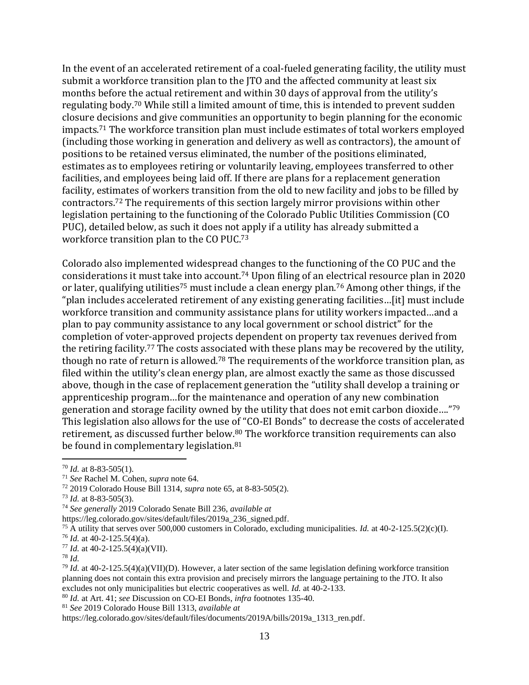In the event of an accelerated retirement of a coal-fueled generating facility, the utility must submit a workforce transition plan to the JTO and the affected community at least six months before the actual retirement and within 30 days of approval from the utility's regulating body.<sup>70</sup> While still a limited amount of time, this is intended to prevent sudden closure decisions and give communities an opportunity to begin planning for the economic impacts. <sup>71</sup> The workforce transition plan must include estimates of total workers employed (including those working in generation and delivery as well as contractors), the amount of positions to be retained versus eliminated, the number of the positions eliminated, estimates as to employees retiring or voluntarily leaving, employees transferred to other facilities, and employees being laid off. If there are plans for a replacement generation facility, estimates of workers transition from the old to new facility and jobs to be filled by contractors.<sup>72</sup> The requirements of this section largely mirror provisions within other legislation pertaining to the functioning of the Colorado Public Utilities Commission (CO PUC), detailed below, as such it does not apply if a utility has already submitted a workforce transition plan to the CO PUC.<sup>73</sup>

Colorado also implemented widespread changes to the functioning of the CO PUC and the considerations it must take into account.<sup>74</sup> Upon filing of an electrical resource plan in 2020 or later, qualifying utilities<sup>75</sup> must include a clean energy plan.<sup>76</sup> Among other things, if the "plan includes accelerated retirement of any existing generating facilities…[it] must include workforce transition and community assistance plans for utility workers impacted…and a plan to pay community assistance to any local government or school district" for the completion of voter-approved projects dependent on property tax revenues derived from the retiring facility.<sup>77</sup> The costs associated with these plans may be recovered by the utility, though no rate of return is allowed.<sup>78</sup> The requirements of the workforce transition plan, as filed within the utility's clean energy plan, are almost exactly the same as those discussed above, though in the case of replacement generation the "utility shall develop a training or apprenticeship program…for the maintenance and operation of any new combination generation and storage facility owned by the utility that does not emit carbon dioxide…."<sup>79</sup> This legislation also allows for the use of "CO-EI Bonds" to decrease the costs of accelerated retirement, as discussed further below.<sup>80</sup> The workforce transition requirements can also be found in complementary legislation.<sup>81</sup>

 $70$  *Id.* at 8-83-505(1).

<sup>71</sup> *See* Rachel M. Cohen, *supra* note 64.

<sup>72</sup> 2019 Colorado House Bill 1314, *supra* note 65, at 8-83-505(2).

<sup>73</sup> *Id.* at 8-83-505(3).

<sup>74</sup> *See generally* 2019 Colorado Senate Bill 236, *available at*

https://leg.colorado.gov/sites/default/files/2019a\_236\_signed.pdf.

<sup>75</sup> A utility that serves over 500,000 customers in Colorado, excluding municipalities. *Id.* at 40-2-125.5(2)(c)(I).

<sup>76</sup> *Id.* at 40-2-125.5(4)(a).

 $77$  *Id.* at 40-2-125.5(4)(a)(VII).

<sup>78</sup> *Id.*

<sup>79</sup> *Id.* at 40-2-125.5(4)(a)(VII)(D). However, a later section of the same legislation defining workforce transition planning does not contain this extra provision and precisely mirrors the language pertaining to the JTO. It also excludes not only municipalities but electric cooperatives as well. *Id.* at 40-2-133.

<sup>80</sup> *Id.* at Art. 41; *see* Discussion on CO-EI Bonds, *infra* footnotes 135-40.

<sup>81</sup> *See* 2019 Colorado House Bill 1313, *available at*

https://leg.colorado.gov/sites/default/files/documents/2019A/bills/2019a\_1313\_ren.pdf.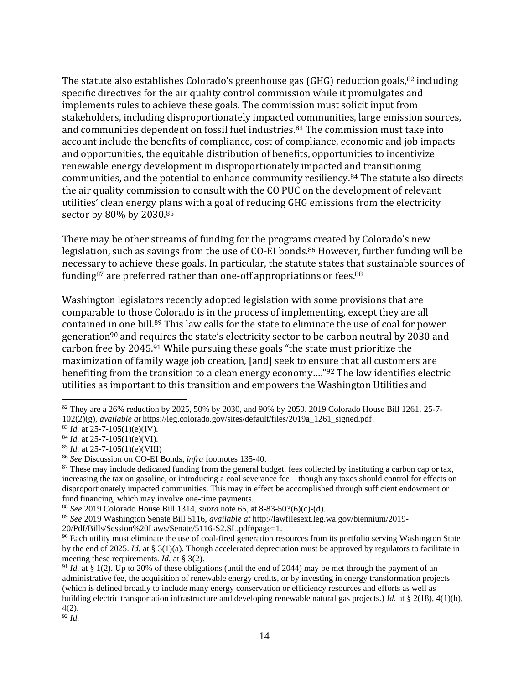The statute also establishes Colorado's greenhouse gas (GHG) reduction goals, <sup>82</sup> including specific directives for the air quality control commission while it promulgates and implements rules to achieve these goals. The commission must solicit input from stakeholders, including disproportionately impacted communities, large emission sources, and communities dependent on fossil fuel industries.<sup>83</sup> The commission must take into account include the benefits of compliance, cost of compliance, economic and job impacts and opportunities, the equitable distribution of benefits, opportunities to incentivize renewable energy development in disproportionately impacted and transitioning communities, and the potential to enhance community resiliency.<sup>84</sup> The statute also directs the air quality commission to consult with the CO PUC on the development of relevant utilities' clean energy plans with a goal of reducing GHG emissions from the electricity sector by 80% by 2030.<sup>85</sup>

There may be other streams of funding for the programs created by Colorado's new legislation, such as savings from the use of CO-EI bonds.<sup>86</sup> However, further funding will be necessary to achieve these goals. In particular, the statute states that sustainable sources of funding<sup>87</sup> are preferred rather than one-off appropriations or fees.<sup>88</sup>

Washington legislators recently adopted legislation with some provisions that are comparable to those Colorado is in the process of implementing, except they are all contained in one bill.<sup>89</sup> This law calls for the state to eliminate the use of coal for power generation<sup>90</sup> and requires the state's electricity sector to be carbon neutral by 2030 and carbon free by 2045.<sup>91</sup> While pursuing these goals "the state must prioritize the maximization of family wage job creation, [and] seek to ensure that all customers are benefiting from the transition to a clean energy economy…."<sup>92</sup> The law identifies electric utilities as important to this transition and empowers the Washington Utilities and

<sup>82</sup> They are a 26% reduction by 2025, 50% by 2030, and 90% by 2050. 2019 Colorado House Bill 1261, 25-7- 102(2)(g), *available at* https://leg.colorado.gov/sites/default/files/2019a\_1261\_signed.pdf.

<sup>83</sup> *Id.* at 25-7-105(1)(e)(IV).

<sup>84</sup> *Id.* at 25-7-105(1)(e)(VI).

<sup>85</sup> *Id.* at 25-7-105(1)(e)(VIII)

<sup>86</sup> *See* Discussion on CO-EI Bonds, *infra* footnotes 135-40.

 $87$  These may include dedicated funding from the general budget, fees collected by instituting a carbon cap or tax, increasing the tax on gasoline, or introducing a coal severance fee—though any taxes should control for effects on disproportionately impacted communities. This may in effect be accomplished through sufficient endowment or fund financing, which may involve one-time payments.

<sup>88</sup> *See* 2019 Colorado House Bill 1314, *supra* note 65, at 8-83-503(6)(c)-(d).

<sup>89</sup> *See* 2019 Washington Senate Bill 5116, *available at* http://lawfilesext.leg.wa.gov/biennium/2019-

<sup>20/</sup>Pdf/Bills/Session%20Laws/Senate/5116-S2.SL.pdf#page=1.

<sup>&</sup>lt;sup>90</sup> Each utility must eliminate the use of coal-fired generation resources from its portfolio serving Washington State by the end of 2025. *Id.* at § 3(1)(a). Though accelerated depreciation must be approved by regulators to facilitate in meeting these requirements. *Id.* at § 3(2).

<sup>&</sup>lt;sup>91</sup> *Id.* at § 1(2). Up to 20% of these obligations (until the end of 2044) may be met through the payment of an administrative fee, the acquisition of renewable energy credits, or by investing in energy transformation projects (which is defined broadly to include many energy conservation or efficiency resources and efforts as well as building electric transportation infrastructure and developing renewable natural gas projects.) *Id.* at § 2(18), 4(1)(b), 4(2).

<sup>92</sup> *Id.*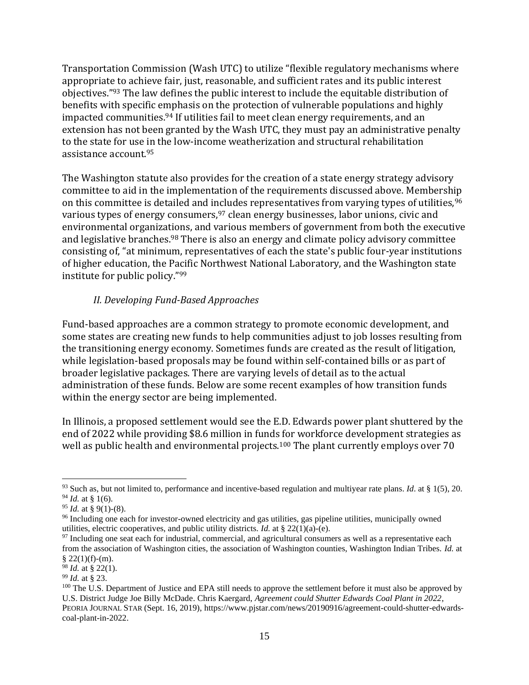Transportation Commission (Wash UTC) to utilize "flexible regulatory mechanisms where appropriate to achieve fair, just, reasonable, and sufficient rates and its public interest objectives."<sup>93</sup> The law defines the public interest to include the equitable distribution of benefits with specific emphasis on the protection of vulnerable populations and highly impacted communities.<sup>94</sup> If utilities fail to meet clean energy requirements, and an extension has not been granted by the Wash UTC, they must pay an administrative penalty to the state for use in the low-income weatherization and structural rehabilitation assistance account.<sup>95</sup>

The Washington statute also provides for the creation of a state energy strategy advisory committee to aid in the implementation of the requirements discussed above. Membership on this committee is detailed and includes representatives from varying types of utilities, <sup>96</sup> various types of energy consumers,<sup>97</sup> clean energy businesses, labor unions, civic and environmental organizations, and various members of government from both the executive and legislative branches.<sup>98</sup> There is also an energy and climate policy advisory committee consisting of, "at minimum, representatives of each the state's public four-year institutions of higher education, the Pacific Northwest National Laboratory, and the Washington state institute for public policy."<sup>99</sup>

#### *II. Developing Fund-Based Approaches*

Fund-based approaches are a common strategy to promote economic development, and some states are creating new funds to help communities adjust to job losses resulting from the transitioning energy economy. Sometimes funds are created as the result of litigation, while legislation-based proposals may be found within self-contained bills or as part of broader legislative packages. There are varying levels of detail as to the actual administration of these funds. Below are some recent examples of how transition funds within the energy sector are being implemented.

In Illinois, a proposed settlement would see the E.D. Edwards power plant shuttered by the end of 2022 while providing \$8.6 million in funds for workforce development strategies as well as public health and environmental projects.<sup>100</sup> The plant currently employs over 70

<sup>93</sup> Such as, but not limited to, performance and incentive-based regulation and multiyear rate plans. *Id*. at § 1(5), 20.  $94$  *Id.* at § 1(6).

<sup>95</sup> *Id.* at § 9(1)-(8).

<sup>&</sup>lt;sup>96</sup> Including one each for investor-owned electricity and gas utilities, gas pipeline utilities, municipally owned utilities, electric cooperatives, and public utility districts. *Id.* at  $\S$  22(1)(a)-(e).

<sup>&</sup>lt;sup>97</sup> Including one seat each for industrial, commercial, and agricultural consumers as well as a representative each from the association of Washington cities, the association of Washington counties, Washington Indian Tribes. *Id.* at  $$22(1)(f)-(m).$ 

<sup>98</sup> *Id.* at § 22(1).

<sup>99</sup> *Id.* at § 23.

<sup>&</sup>lt;sup>100</sup> The U.S. Department of Justice and EPA still needs to approve the settlement before it must also be approved by U.S. District Judge Joe Billy McDade. Chris Kaergard, *Agreement could Shutter Edwards Coal Plant in 2022*, PEORIA JOURNAL STAR (Sept. 16, 2019), https://www.pjstar.com/news/20190916/agreement-could-shutter-edwardscoal-plant-in-2022.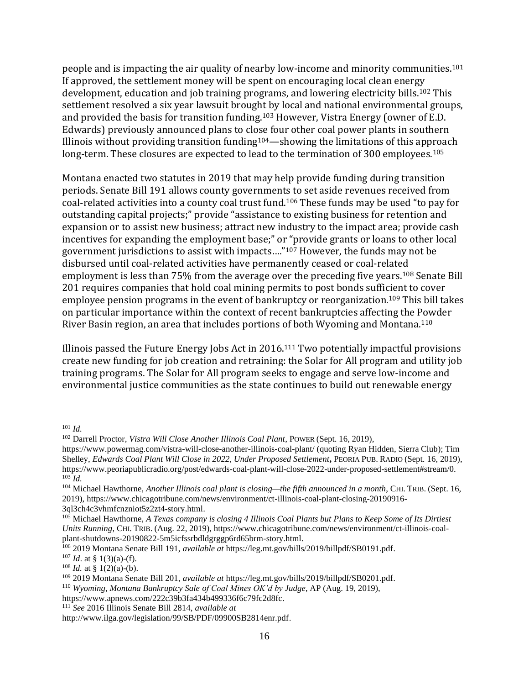people and is impacting the air quality of nearby low-income and minority communities.<sup>101</sup> If approved, the settlement money will be spent on encouraging local clean energy development, education and job training programs, and lowering electricity bills.<sup>102</sup> This settlement resolved a six year lawsuit brought by local and national environmental groups, and provided the basis for transition funding.<sup>103</sup> However, Vistra Energy (owner of E.D. Edwards) previously announced plans to close four other coal power plants in southern Illinois without providing transition funding $104$ —showing the limitations of this approach long-term. These closures are expected to lead to the termination of 300 employees.<sup>105</sup>

Montana enacted two statutes in 2019 that may help provide funding during transition periods. Senate Bill 191 allows county governments to set aside revenues received from coal-related activities into a county coal trust fund.<sup>106</sup> These funds may be used "to pay for outstanding capital projects;" provide "assistance to existing business for retention and expansion or to assist new business; attract new industry to the impact area; provide cash incentives for expanding the employment base;" or "provide grants or loans to other local government jurisdictions to assist with impacts…."<sup>107</sup> However, the funds may not be disbursed until coal-related activities have permanently ceased or coal-related employment is less than 75% from the average over the preceding five years.<sup>108</sup> Senate Bill 201 requires companies that hold coal mining permits to post bonds sufficient to cover employee pension programs in the event of bankruptcy or reorganization.<sup>109</sup> This bill takes on particular importance within the context of recent bankruptcies affecting the Powder River Basin region, an area that includes portions of both Wyoming and Montana.<sup>110</sup>

Illinois passed the Future Energy Jobs Act in 2016. <sup>111</sup> Two potentially impactful provisions create new funding for job creation and retraining: the Solar for All program and utility job training programs. The Solar for All program seeks to engage and serve low-income and environmental justice communities as the state continues to build out renewable energy

<sup>101</sup> *Id.*

<sup>102</sup> Darrell Proctor, *Vistra Will Close Another Illinois Coal Plant*, POWER (Sept. 16, 2019),

https://www.powermag.com/vistra-will-close-another-illinois-coal-plant/ (quoting Ryan Hidden, Sierra Club); Tim Shelley, *Edwards Coal Plant Will Close in 2022, Under Proposed Settlement***,** PEORIA PUB. RADIO (Sept. 16, 2019), https://www.peoriapublicradio.org/post/edwards-coal-plant-will-close-2022-under-proposed-settlement#stream/0.  $^{103}$ *Id.* 

<sup>104</sup> Michael Hawthorne, *Another Illinois coal plant is closing—the fifth announced in a month*, CHI. TRIB. (Sept. 16, 2019), https://www.chicagotribune.com/news/environment/ct-illinois-coal-plant-closing-20190916- 3ql3ch4c3vhmfcnzniot5z2zt4-story.html.

<sup>105</sup> Michael Hawthorne, *A Texas company is closing 4 Illinois Coal Plants but Plans to Keep Some of Its Dirtiest Units Running*, CHI. TRIB. (Aug. 22, 2019), https://www.chicagotribune.com/news/environment/ct-illinois-coalplant-shutdowns-20190822-5m5icfssrbdldgrggp6rd65brm-story.html.

<sup>106</sup> 2019 Montana Senate Bill 191, *available at* https://leg.mt.gov/bills/2019/billpdf/SB0191.pdf.

 $107$  *Id.* at § 1(3)(a)-(f).

 $108$  *Id.* at § 1(2)(a)-(b).

<sup>109</sup> 2019 Montana Senate Bill 201, *available at* https://leg.mt.gov/bills/2019/billpdf/SB0201.pdf.

<sup>110</sup> *Wyoming, Montana Bankruptcy Sale of Coal Mines OK'd by Judge*, AP (Aug. 19, 2019),

https://www.apnews.com/222c39b3fa434b499336f6c79fc2d8fc.

<sup>111</sup> *See* 2016 Illinois Senate Bill 2814, *available at*

http://www.ilga.gov/legislation/99/SB/PDF/09900SB2814enr.pdf.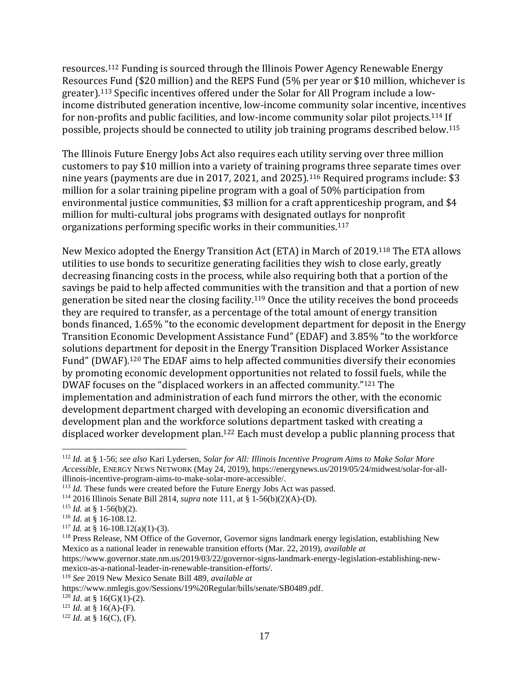resources.<sup>112</sup> Funding is sourced through the Illinois Power Agency Renewable Energy Resources Fund (\$20 million) and the REPS Fund (5% per year or \$10 million, whichever is greater).<sup>113</sup> Specific incentives offered under the Solar for All Program include a lowincome distributed generation incentive, low-income community solar incentive, incentives for non-profits and public facilities, and low-income community solar pilot projects.<sup>114</sup> If possible, projects should be connected to utility job training programs described below.<sup>115</sup>

The Illinois Future Energy Jobs Act also requires each utility serving over three million customers to pay \$10 million into a variety of training programs three separate times over nine years (payments are due in 2017, 2021, and 2025).<sup>116</sup> Required programs include: \$3 million for a solar training pipeline program with a goal of 50% participation from environmental justice communities, \$3 million for a craft apprenticeship program, and \$4 million for multi-cultural jobs programs with designated outlays for nonprofit organizations performing specific works in their communities.<sup>117</sup>

New Mexico adopted the Energy Transition Act (ETA) in March of 2019.<sup>118</sup> The ETA allows utilities to use bonds to securitize generating facilities they wish to close early, greatly decreasing financing costs in the process, while also requiring both that a portion of the savings be paid to help affected communities with the transition and that a portion of new generation be sited near the closing facility.<sup>119</sup> Once the utility receives the bond proceeds they are required to transfer, as a percentage of the total amount of energy transition bonds financed, 1.65% "to the economic development department for deposit in the Energy Transition Economic Development Assistance Fund" (EDAF) and 3.85% "to the workforce solutions department for deposit in the Energy Transition Displaced Worker Assistance Fund" (DWAF).<sup>120</sup> The EDAF aims to help affected communities diversify their economies by promoting economic development opportunities not related to fossil fuels, while the DWAF focuses on the "displaced workers in an affected community."<sup>121</sup> The implementation and administration of each fund mirrors the other, with the economic development department charged with developing an economic diversification and development plan and the workforce solutions department tasked with creating a displaced worker development plan.<sup>122</sup> Each must develop a public planning process that

https://www.governor.state.nm.us/2019/03/22/governor-signs-landmark-energy-legislation-establishing-newmexico-as-a-national-leader-in-renewable-transition-efforts/.

<sup>112</sup> *Id.* at § 1-56; *see also* Kari Lydersen, *Solar for All: Illinois Incentive Program Aims to Make Solar More Accessible*, ENERGY NEWS NETWORK (May 24, 2019), https://energynews.us/2019/05/24/midwest/solar-for-allillinois-incentive-program-aims-to-make-solar-more-accessible/.

<sup>&</sup>lt;sup>113</sup> *Id.* These funds were created before the Future Energy Jobs Act was passed.

<sup>114</sup> 2016 Illinois Senate Bill 2814, *supra* note 111, at § 1-56(b)(2)(A)-(D).

<sup>&</sup>lt;sup>115</sup> *Id.* at § 1-56(b)(2).

<sup>116</sup> *Id.* at § 16-108.12.

<sup>&</sup>lt;sup>117</sup> *Id.* at § 16-108.12(a)(1)-(3).

<sup>&</sup>lt;sup>118</sup> Press Release, NM Office of the Governor, Governor signs landmark energy legislation, establishing New Mexico as a national leader in renewable transition efforts (Mar. 22, 2019), *available at*

<sup>119</sup> *See* 2019 New Mexico Senate Bill 489, *available at*

https://www.nmlegis.gov/Sessions/19%20Regular/bills/senate/SB0489.pdf.

 $120$  *Id.* at § 16(G)(1)-(2).

 $121$  *Id.* at § 16(A)-(F).

 $122$  *Id.* at § 16(C), (F).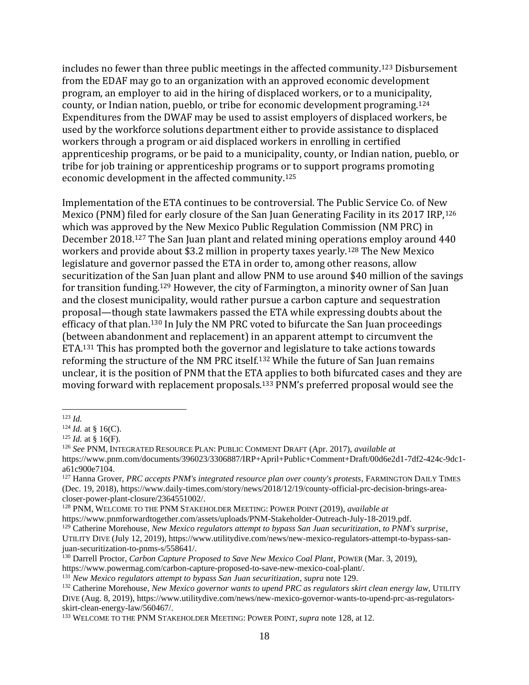includes no fewer than three public meetings in the affected community.<sup>123</sup> Disbursement from the EDAF may go to an organization with an approved economic development program, an employer to aid in the hiring of displaced workers, or to a municipality, county, or Indian nation, pueblo, or tribe for economic development programing.<sup>124</sup> Expenditures from the DWAF may be used to assist employers of displaced workers, be used by the workforce solutions department either to provide assistance to displaced workers through a program or aid displaced workers in enrolling in certified apprenticeship programs, or be paid to a municipality, county, or Indian nation, pueblo, or tribe for job training or apprenticeship programs or to support programs promoting economic development in the affected community.<sup>125</sup>

Implementation of the ETA continues to be controversial. The Public Service Co. of New Mexico (PNM) filed for early closure of the San Juan Generating Facility in its 2017 IRP,<sup>126</sup> which was approved by the New Mexico Public Regulation Commission (NM PRC) in December 2018.<sup>127</sup> The San Juan plant and related mining operations employ around 440 workers and provide about \$3.2 million in property taxes yearly.<sup>128</sup> The New Mexico legislature and governor passed the ETA in order to, among other reasons, allow securitization of the San Juan plant and allow PNM to use around \$40 million of the savings for transition funding.<sup>129</sup> However, the city of Farmington, a minority owner of San Juan and the closest municipality, would rather pursue a carbon capture and sequestration proposal—though state lawmakers passed the ETA while expressing doubts about the efficacy of that plan.<sup>130</sup> In July the NM PRC voted to bifurcate the San Juan proceedings (between abandonment and replacement) in an apparent attempt to circumvent the ETA.<sup>131</sup> This has prompted both the governor and legislature to take actions towards reforming the structure of the NM PRC itself.<sup>132</sup> While the future of San Juan remains unclear, it is the position of PNM that the ETA applies to both bifurcated cases and they are moving forward with replacement proposals.<sup>133</sup> PNM's preferred proposal would see the

<sup>128</sup> PNM, WELCOME TO THE PNM STAKEHOLDER MEETING: POWER POINT (2019), *available at*  https://www.pnmforwardtogether.com/assets/uploads/PNM-Stakeholder-Outreach-July-18-2019.pdf.

<sup>123</sup> *Id.*

 $124$  *Id.* at § 16(C).

 $125$  *Id.* at § 16(F).

<sup>126</sup> *See* PNM, INTEGRATED RESOURCE PLAN: PUBLIC COMMENT DRAFT (Apr. 2017), *available at*  https://www.pnm.com/documents/396023/3306887/IRP+April+Public+Comment+Draft/00d6e2d1-7df2-424c-9dc1 a61c900e7104.

<sup>127</sup> Hanna Grover, *PRC accepts PNM's integrated resource plan over county's protests*, FARMINGTON DAILY TIMES (Dec. 19, 2018), https://www.daily-times.com/story/news/2018/12/19/county-official-prc-decision-brings-areacloser-power-plant-closure/2364551002/.

<sup>129</sup> Catherine Morehouse, *New Mexico regulators attempt to bypass San Juan securitization, to PNM's surprise*,

UTILITY DIVE (July 12, 2019), https://www.utilitydive.com/news/new-mexico-regulators-attempt-to-bypass-sanjuan-securitization-to-pnms-s/558641/.

<sup>130</sup> Darrell Proctor, *Carbon Capture Proposed to Save New Mexico Coal Plant*, POWER (Mar. 3, 2019),

https://www.powermag.com/carbon-capture-proposed-to-save-new-mexico-coal-plant/.

<sup>131</sup> *New Mexico regulators attempt to bypass San Juan securitization*, *supra* note 129.

<sup>&</sup>lt;sup>132</sup> Catherine Morehouse, *New Mexico governor wants to upend PRC as regulators skirt clean energy law*, UTILITY DIVE (Aug. 8, 2019), https://www.utilitydive.com/news/new-mexico-governor-wants-to-upend-prc-as-regulatorsskirt-clean-energy-law/560467/.

<sup>&</sup>lt;sup>133</sup> WELCOME TO THE PNM STAKEHOLDER MEETING: POWER POINT, *supra* note 128, at 12.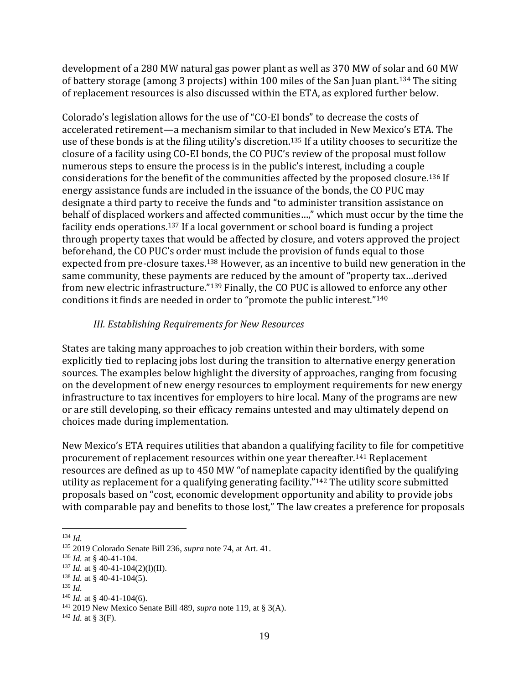development of a 280 MW natural gas power plant as well as 370 MW of solar and 60 MW of battery storage (among 3 projects) within 100 miles of the San Juan plant.<sup>134</sup> The siting of replacement resources is also discussed within the ETA, as explored further below.

Colorado's legislation allows for the use of "CO-EI bonds" to decrease the costs of accelerated retirement—a mechanism similar to that included in New Mexico's ETA. The use of these bonds is at the filing utility's discretion.<sup>135</sup> If a utility chooses to securitize the closure of a facility using CO-EI bonds, the CO PUC's review of the proposal must follow numerous steps to ensure the process is in the public's interest, including a couple considerations for the benefit of the communities affected by the proposed closure.<sup>136</sup> If energy assistance funds are included in the issuance of the bonds, the CO PUC may designate a third party to receive the funds and "to administer transition assistance on behalf of displaced workers and affected communities…," which must occur by the time the facility ends operations.<sup>137</sup> If a local government or school board is funding a project through property taxes that would be affected by closure, and voters approved the project beforehand, the CO PUC's order must include the provision of funds equal to those expected from pre-closure taxes.<sup>138</sup> However, as an incentive to build new generation in the same community, these payments are reduced by the amount of "property tax…derived from new electric infrastructure."<sup>139</sup> Finally, the CO PUC is allowed to enforce any other conditions it finds are needed in order to "promote the public interest."<sup>140</sup>

# *III. Establishing Requirements for New Resources*

States are taking many approaches to job creation within their borders, with some explicitly tied to replacing jobs lost during the transition to alternative energy generation sources. The examples below highlight the diversity of approaches, ranging from focusing on the development of new energy resources to employment requirements for new energy infrastructure to tax incentives for employers to hire local. Many of the programs are new or are still developing, so their efficacy remains untested and may ultimately depend on choices made during implementation.

New Mexico's ETA requires utilities that abandon a qualifying facility to file for competitive procurement of replacement resources within one year thereafter.<sup>141</sup> Replacement resources are defined as up to 450 MW "of nameplate capacity identified by the qualifying utility as replacement for a qualifying generating facility."<sup>142</sup> The utility score submitted proposals based on "cost, economic development opportunity and ability to provide jobs with comparable pay and benefits to those lost," The law creates a preference for proposals

<sup>139</sup> *Id.*

<sup>134</sup> *Id.*

<sup>135</sup> 2019 Colorado Senate Bill 236, *supra* note 74, at Art. 41.

<sup>136</sup> *Id.* at § 40-41-104.

 $137$  *Id.* at § 40-41-104(2)(1)(II).

<sup>138</sup> *Id.* at § 40-41-104(5).

 $140$  *Id.* at § 40-41-104(6).

<sup>141</sup> 2019 New Mexico Senate Bill 489, *supra* note 119, at § 3(A).

 $^{142}$  *Id.* at § 3(F).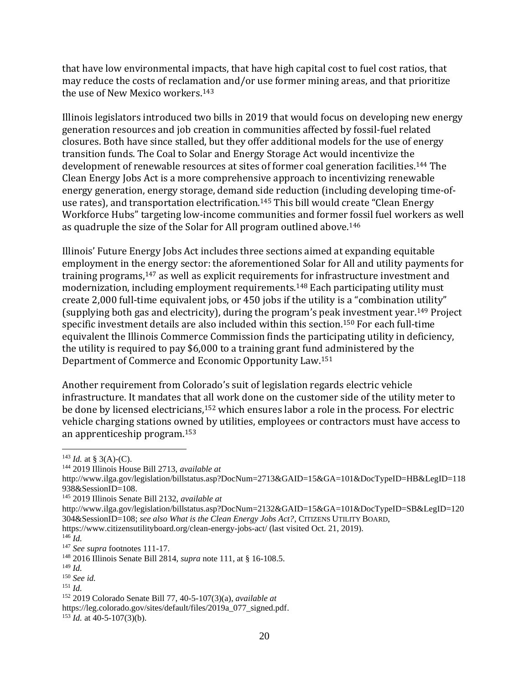that have low environmental impacts, that have high capital cost to fuel cost ratios, that may reduce the costs of reclamation and/or use former mining areas, and that prioritize the use of New Mexico workers.<sup>143</sup>

Illinois legislators introduced two bills in 2019 that would focus on developing new energy generation resources and job creation in communities affected by fossil-fuel related closures. Both have since stalled, but they offer additional models for the use of energy transition funds. The Coal to Solar and Energy Storage Act would incentivize the development of renewable resources at sites of former coal generation facilities.<sup>144</sup> The Clean Energy Jobs Act is a more comprehensive approach to incentivizing renewable energy generation, energy storage, demand side reduction (including developing time-ofuse rates), and transportation electrification.<sup>145</sup> This bill would create "Clean Energy Workforce Hubs" targeting low-income communities and former fossil fuel workers as well as quadruple the size of the Solar for All program outlined above.<sup>146</sup>

Illinois' Future Energy Jobs Act includes three sections aimed at expanding equitable employment in the energy sector: the aforementioned Solar for All and utility payments for training programs,<sup>147</sup> as well as explicit requirements for infrastructure investment and modernization, including employment requirements.<sup>148</sup> Each participating utility must create 2,000 full-time equivalent jobs, or 450 jobs if the utility is a "combination utility" (supplying both gas and electricity), during the program's peak investment year.<sup>149</sup> Project specific investment details are also included within this section.<sup>150</sup> For each full-time equivalent the Illinois Commerce Commission finds the participating utility in deficiency, the utility is required to pay \$6,000 to a training grant fund administered by the Department of Commerce and Economic Opportunity Law.<sup>151</sup>

Another requirement from Colorado's suit of legislation regards electric vehicle infrastructure. It mandates that all work done on the customer side of the utility meter to be done by licensed electricians,<sup>152</sup> which ensures labor a role in the process. For electric vehicle charging stations owned by utilities, employees or contractors must have access to an apprenticeship program.<sup>153</sup>

 $^{143}$  *Id.* at § 3(A)-(C).

<sup>144</sup> 2019 Illinois House Bill 2713, *available at*

http://www.ilga.gov/legislation/billstatus.asp?DocNum=2713&GAID=15&GA=101&DocTypeID=HB&LegID=118 938&SessionID=108.

<sup>145</sup> 2019 Illinois Senate Bill 2132, *available at*

http://www.ilga.gov/legislation/billstatus.asp?DocNum=2132&GAID=15&GA=101&DocTypeID=SB&LegID=120 304&SessionID=108; *see also What is the Clean Energy Jobs Act?*, CITIZENS UTILITY BOARD,

https://www.citizensutilityboard.org/clean-energy-jobs-act/ (last visited Oct. 21, 2019).

<sup>146</sup> *Id.*

<sup>147</sup> *See supra* footnotes 111-17.

<sup>148</sup> 2016 Illinois Senate Bill 2814, *supra* note 111, at § 16-108.5.

<sup>149</sup> *Id.*

<sup>150</sup> *See id.*

<sup>151</sup> *Id.*

<sup>152</sup> 2019 Colorado Senate Bill 77, 40-5-107(3)(a), *available at*

https://leg.colorado.gov/sites/default/files/2019a\_077\_signed.pdf.

 $153$  *Id.* at 40-5-107(3)(b).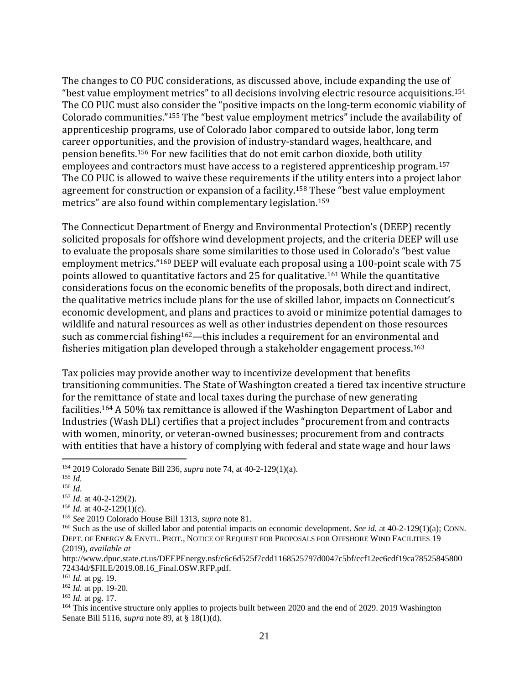The changes to CO PUC considerations, as discussed above, include expanding the use of "best value employment metrics" to all decisions involving electric resource acquisitions.<sup>154</sup> The CO PUC must also consider the "positive impacts on the long-term economic viability of Colorado communities."<sup>155</sup> The "best value employment metrics" include the availability of apprenticeship programs, use of Colorado labor compared to outside labor, long term career opportunities, and the provision of industry-standard wages, healthcare, and pension benefits.<sup>156</sup> For new facilities that do not emit carbon dioxide, both utility employees and contractors must have access to a registered apprenticeship program.<sup>157</sup> The CO PUC is allowed to waive these requirements if the utility enters into a project labor agreement for construction or expansion of a facility.<sup>158</sup> These "best value employment metrics" are also found within complementary legislation.<sup>159</sup>

The Connecticut Department of Energy and Environmental Protection's (DEEP) recently solicited proposals for offshore wind development projects, and the criteria DEEP will use to evaluate the proposals share some similarities to those used in Colorado's "best value employment metrics."<sup>160</sup> DEEP will evaluate each proposal using a 100-point scale with 75 points allowed to quantitative factors and 25 for qualitative.<sup>161</sup> While the quantitative considerations focus on the economic benefits of the proposals, both direct and indirect, the qualitative metrics include plans for the use of skilled labor, impacts on Connecticut's economic development, and plans and practices to avoid or minimize potential damages to wildlife and natural resources as well as other industries dependent on those resources such as commercial fishing<sup>162</sup>—this includes a requirement for an environmental and fisheries mitigation plan developed through a stakeholder engagement process.<sup>163</sup>

Tax policies may provide another way to incentivize development that benefits transitioning communities. The State of Washington created a tiered tax incentive structure for the remittance of state and local taxes during the purchase of new generating facilities.<sup>164</sup> A 50% tax remittance is allowed if the Washington Department of Labor and Industries (Wash DLI) certifies that a project includes "procurement from and contracts with women, minority, or veteran-owned businesses; procurement from and contracts with entities that have a history of complying with federal and state wage and hour laws

<sup>154</sup> 2019 Colorado Senate Bill 236, *supra* note 74, at 40-2-129(1)(a).

<sup>155</sup> *Id.*

<sup>156</sup> *Id.*

<sup>157</sup> *Id.* at 40-2-129(2).

<sup>158</sup> *Id.* at 40-2-129(1)(c).

<sup>159</sup> *See* 2019 Colorado House Bill 1313, *supra* note 81.

<sup>160</sup> Such as the use of skilled labor and potential impacts on economic development. *See id.* at 40-2-129(1)(a); CONN. DEPT. OF ENERGY & ENVTL. PROT., NOTICE OF REQUEST FOR PROPOSALS FOR OFFSHORE WIND FACILITIES 19 (2019), *available at* 

http://www.dpuc.state.ct.us/DEEPEnergy.nsf/c6c6d525f7cdd1168525797d0047c5bf/ccf12ec6cdf19ca78525845800 72434d/\$FILE/2019.08.16\_Final.OSW.RFP.pdf.

<sup>161</sup> *Id.* at pg. 19.

<sup>162</sup> *Id.* at pp. 19-20.

<sup>163</sup> *Id.* at pg. 17.

<sup>&</sup>lt;sup>164</sup> This incentive structure only applies to projects built between 2020 and the end of 2029. 2019 Washington Senate Bill 5116, *supra* note 89, at § 18(1)(d).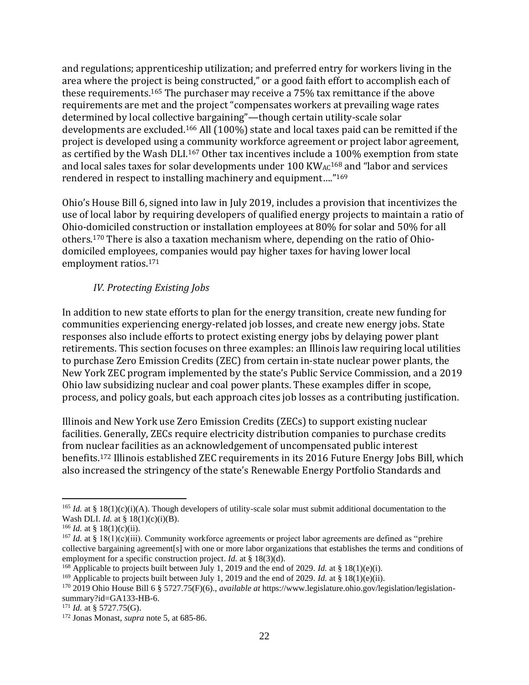and regulations; apprenticeship utilization; and preferred entry for workers living in the area where the project is being constructed," or a good faith effort to accomplish each of these requirements.<sup>165</sup> The purchaser may receive a 75% tax remittance if the above requirements are met and the project "compensates workers at prevailing wage rates determined by local collective bargaining"—though certain utility-scale solar developments are excluded.<sup>166</sup> All (100%) state and local taxes paid can be remitted if the project is developed using a community workforce agreement or project labor agreement, as certified by the Wash DLI.<sup>167</sup> Other tax incentives include a 100% exemption from state and local sales taxes for solar developments under 100 KWAC<sup>168</sup> and "labor and services rendered in respect to installing machinery and equipment…."<sup>169</sup>

Ohio's House Bill 6, signed into law in July 2019, includes a provision that incentivizes the use of local labor by requiring developers of qualified energy projects to maintain a ratio of Ohio-domiciled construction or installation employees at 80% for solar and 50% for all others.<sup>170</sup> There is also a taxation mechanism where, depending on the ratio of Ohiodomiciled employees, companies would pay higher taxes for having lower local employment ratios.<sup>171</sup>

# *IV. Protecting Existing Jobs*

In addition to new state efforts to plan for the energy transition, create new funding for communities experiencing energy-related job losses, and create new energy jobs. State responses also include efforts to protect existing energy jobs by delaying power plant retirements. This section focuses on three examples: an Illinois law requiring local utilities to purchase Zero Emission Credits (ZEC) from certain in-state nuclear power plants, the New York ZEC program implemented by the state's Public Service Commission, and a 2019 Ohio law subsidizing nuclear and coal power plants. These examples differ in scope, process, and policy goals, but each approach cites job losses as a contributing justification.

Illinois and New York use Zero Emission Credits (ZECs) to support existing nuclear facilities. Generally, ZECs require electricity distribution companies to purchase credits from nuclear facilities as an acknowledgement of uncompensated public interest benefits.<sup>172</sup> Illinois established ZEC requirements in its 2016 Future Energy Jobs Bill, which also increased the stringency of the state's Renewable Energy Portfolio Standards and

<sup>&</sup>lt;sup>165</sup> *Id.* at § 18(1)(c)(i)(A). Though developers of utility-scale solar must submit additional documentation to the Wash DLI. *Id.* at § 18(1)(c)(i)(B).

<sup>&</sup>lt;sup>166</sup> *Id.* at § 18(1)(c)(ii).

<sup>&</sup>lt;sup>167</sup> *Id.* at § 18(1)(c)(iii). Community workforce agreements or project labor agreements are defined as "prehire collective bargaining agreement[s] with one or more labor organizations that establishes the terms and conditions of employment for a specific construction project. *Id.* at § 18(3)(d).

<sup>168</sup> Applicable to projects built between July 1, 2019 and the end of 2029. *Id.* at § 18(1)(e)(i).

<sup>&</sup>lt;sup>169</sup> Applicable to projects built between July 1, 2019 and the end of 2029. *Id.* at § 18(1)(e)(ii).

<sup>170</sup> 2019 Ohio House Bill 6 § 5727.75(F)(6)., *available at* https://www.legislature.ohio.gov/legislation/legislationsummary?id=GA133-HB-6.

 $171$  *Id.* at § 5727.75(G).

<sup>172</sup> Jonas Monast, *supra* note 5, at 685-86.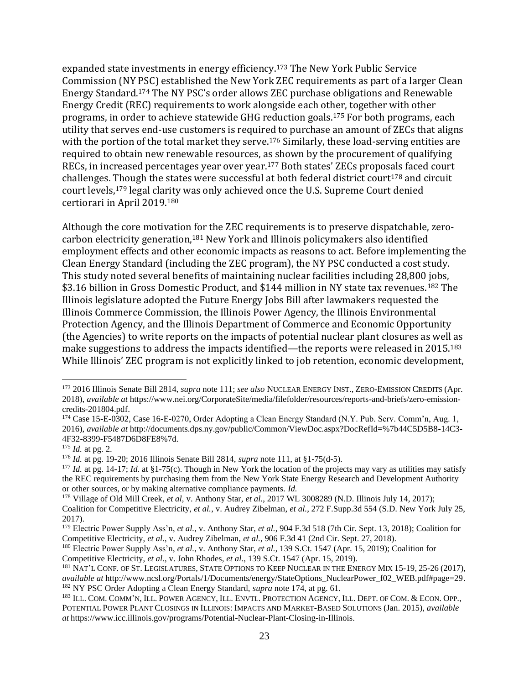expanded state investments in energy efficiency.<sup>173</sup> The New York Public Service Commission (NY PSC) established the New York ZEC requirements as part of a larger Clean Energy Standard.<sup>174</sup> The NY PSC's order allows ZEC purchase obligations and Renewable Energy Credit (REC) requirements to work alongside each other, together with other programs, in order to achieve statewide GHG reduction goals.<sup>175</sup> For both programs, each utility that serves end-use customers is required to purchase an amount of ZECs that aligns with the portion of the total market they serve.<sup>176</sup> Similarly, these load-serving entities are required to obtain new renewable resources, as shown by the procurement of qualifying RECs, in increased percentages year over year.<sup>177</sup> Both states' ZECs proposals faced court challenges. Though the states were successful at both federal district court<sup>178</sup> and circuit court levels,<sup>179</sup> legal clarity was only achieved once the U.S. Supreme Court denied certiorari in April 2019.<sup>180</sup>

Although the core motivation for the ZEC requirements is to preserve dispatchable, zerocarbon electricity generation,<sup>181</sup> New York and Illinois policymakers also identified employment effects and other economic impacts as reasons to act. Before implementing the Clean Energy Standard (including the ZEC program), the NY PSC conducted a cost study. This study noted several benefits of maintaining nuclear facilities including 28,800 jobs, \$3.16 billion in Gross Domestic Product, and \$144 million in NY state tax revenues.<sup>182</sup> The Illinois legislature adopted the Future Energy Jobs Bill after lawmakers requested the Illinois Commerce Commission, the Illinois Power Agency, the Illinois Environmental Protection Agency, and the Illinois Department of Commerce and Economic Opportunity (the Agencies) to write reports on the impacts of potential nuclear plant closures as well as make suggestions to address the impacts identified—the reports were released in 2015.<sup>183</sup> While Illinois' ZEC program is not explicitly linked to job retention, economic development,

<sup>173</sup> 2016 Illinois Senate Bill 2814, *supra* note 111; *see also* NUCLEAR ENERGY INST., ZERO-EMISSION CREDITS (Apr. 2018), *available at* https://www.nei.org/CorporateSite/media/filefolder/resources/reports-and-briefs/zero-emissioncredits-201804.pdf.

<sup>&</sup>lt;sup>174</sup> Case 15-E-0302, Case 16-E-0270, Order Adopting a Clean Energy Standard (N.Y. Pub. Serv. Comm'n, Aug. 1, 2016), *available at* http://documents.dps.ny.gov/public/Common/ViewDoc.aspx?DocRefId=%7b44C5D5B8-14C3- 4F32-8399-F5487D6D8FE8%7d.

<sup>175</sup> *Id.* at pg. 2.

<sup>176</sup> *Id.* at pg. 19-20; 2016 Illinois Senate Bill 2814, *supra* note 111, at §1-75(d-5).

<sup>&</sup>lt;sup>177</sup> *Id.* at pg. 14-17; *Id.* at §1-75(c). Though in New York the location of the projects may vary as utilities may satisfy the REC requirements by purchasing them from the New York State Energy Research and Development Authority or other sources, or by making alternative compliance payments. *Id.*

<sup>&</sup>lt;sup>178</sup> Village of Old Mill Creek, *et al*, v. Anthony Star, *et al.*, 2017 WL 3008289 (N.D. Illinois July 14, 2017); Coalition for Competitive Electricity, *et al.*, v. Audrey Zibelman, *et al.*, 272 F.Supp.3d 554 (S.D. New York July 25, 2017).

<sup>179</sup> Electric Power Supply Ass'n, *et al.*, v. Anthony Star, *et al.*, 904 F.3d 518 (7th Cir. Sept. 13, 2018); Coalition for Competitive Electricity, *et al.*, v. Audrey Zibelman, *et al.*, 906 F.3d 41 (2nd Cir. Sept. 27, 2018).

<sup>180</sup> Electric Power Supply Ass'n, *et al.*, v. Anthony Star, *et al.*, 139 S.Ct. 1547 (Apr. 15, 2019); Coalition for Competitive Electricity, *et al.*, v. John Rhodes, *et al.*, 139 S.Ct. 1547 (Apr. 15, 2019).

<sup>181</sup> NAT'L CONF. OF ST. LEGISLATURES, STATE OPTIONS TO KEEP NUCLEAR IN THE ENERGY MIX 15-19, 25-26 (2017), *available at* http://www.ncsl.org/Portals/1/Documents/energy/StateOptions\_NuclearPower\_f02\_WEB.pdf#page=29. <sup>182</sup> NY PSC Order Adopting a Clean Energy Standard, *supra* note 174, at pg. 61.

<sup>183</sup> ILL. COM. COMM'N, ILL. POWER AGENCY, ILL. ENVTL. PROTECTION AGENCY, ILL. DEPT. OF COM. & ECON. OPP., POTENTIAL POWER PLANT CLOSINGS IN ILLINOIS: IMPACTS AND MARKET-BASED SOLUTIONS (Jan. 2015), *available at* https://www.icc.illinois.gov/programs/Potential-Nuclear-Plant-Closing-in-Illinois.